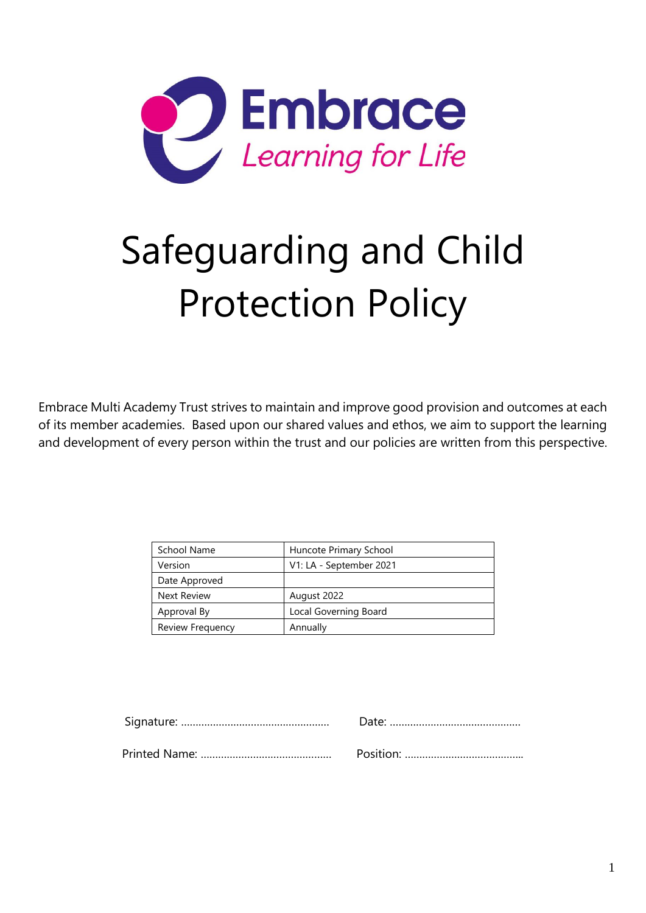

# Safeguarding and Child Protection Policy

Embrace Multi Academy Trust strives to maintain and improve good provision and outcomes at each of its member academies. Based upon our shared values and ethos, we aim to support the learning and development of every person within the trust and our policies are written from this perspective.

| School Name        | Huncote Primary School  |
|--------------------|-------------------------|
| Version            | V1: LA - September 2021 |
| Date Approved      |                         |
| <b>Next Review</b> | August 2022             |
| Approval By        | Local Governing Board   |
| Review Frequency   | Annually                |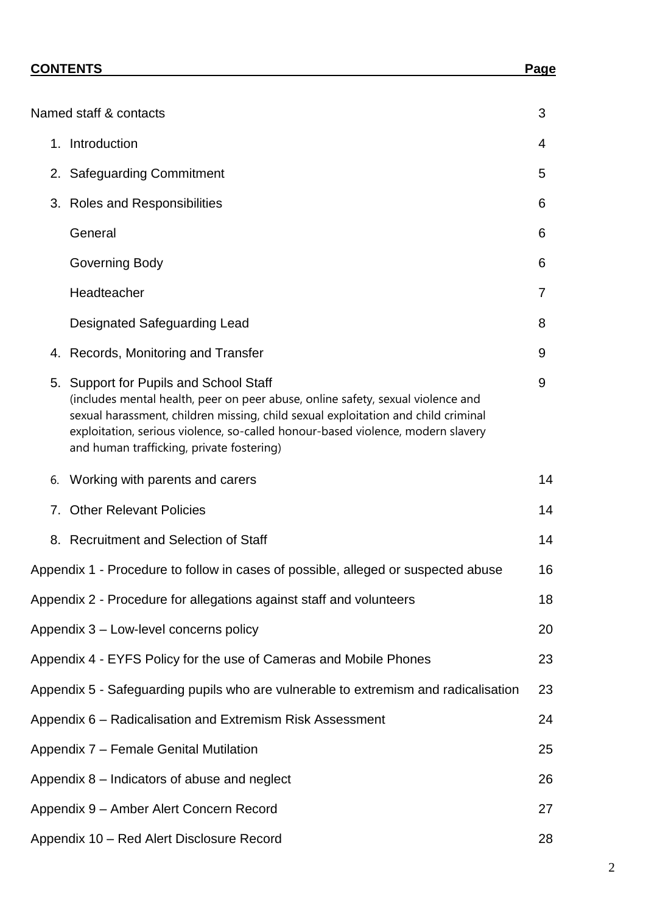|    | Named staff & contacts                                                                                                                                                                                                                                                                                                                         | 3  |
|----|------------------------------------------------------------------------------------------------------------------------------------------------------------------------------------------------------------------------------------------------------------------------------------------------------------------------------------------------|----|
|    | 1. Introduction                                                                                                                                                                                                                                                                                                                                | 4  |
|    | 2. Safeguarding Commitment                                                                                                                                                                                                                                                                                                                     | 5  |
|    |                                                                                                                                                                                                                                                                                                                                                |    |
|    | 3. Roles and Responsibilities                                                                                                                                                                                                                                                                                                                  | 6  |
|    | General                                                                                                                                                                                                                                                                                                                                        | 6  |
|    | <b>Governing Body</b>                                                                                                                                                                                                                                                                                                                          | 6  |
|    | Headteacher                                                                                                                                                                                                                                                                                                                                    | 7  |
|    | Designated Safeguarding Lead                                                                                                                                                                                                                                                                                                                   | 8  |
|    | 4. Records, Monitoring and Transfer                                                                                                                                                                                                                                                                                                            | 9  |
|    | 5. Support for Pupils and School Staff<br>(includes mental health, peer on peer abuse, online safety, sexual violence and<br>sexual harassment, children missing, child sexual exploitation and child criminal<br>exploitation, serious violence, so-called honour-based violence, modern slavery<br>and human trafficking, private fostering) | 9  |
| 6. | Working with parents and carers                                                                                                                                                                                                                                                                                                                | 14 |
|    | 7. Other Relevant Policies                                                                                                                                                                                                                                                                                                                     | 14 |
|    | 8. Recruitment and Selection of Staff                                                                                                                                                                                                                                                                                                          | 14 |
|    | Appendix 1 - Procedure to follow in cases of possible, alleged or suspected abuse                                                                                                                                                                                                                                                              | 16 |
|    | Appendix 2 - Procedure for allegations against staff and volunteers                                                                                                                                                                                                                                                                            | 18 |
|    | Appendix 3 - Low-level concerns policy                                                                                                                                                                                                                                                                                                         | 20 |
|    | Appendix 4 - EYFS Policy for the use of Cameras and Mobile Phones                                                                                                                                                                                                                                                                              | 23 |
|    | Appendix 5 - Safeguarding pupils who are vulnerable to extremism and radicalisation                                                                                                                                                                                                                                                            | 23 |
|    | Appendix 6 - Radicalisation and Extremism Risk Assessment                                                                                                                                                                                                                                                                                      | 24 |
|    | Appendix 7 - Female Genital Mutilation                                                                                                                                                                                                                                                                                                         | 25 |
|    | Appendix 8 – Indicators of abuse and neglect                                                                                                                                                                                                                                                                                                   | 26 |
|    | Appendix 9 - Amber Alert Concern Record                                                                                                                                                                                                                                                                                                        | 27 |
|    | Appendix 10 - Red Alert Disclosure Record                                                                                                                                                                                                                                                                                                      | 28 |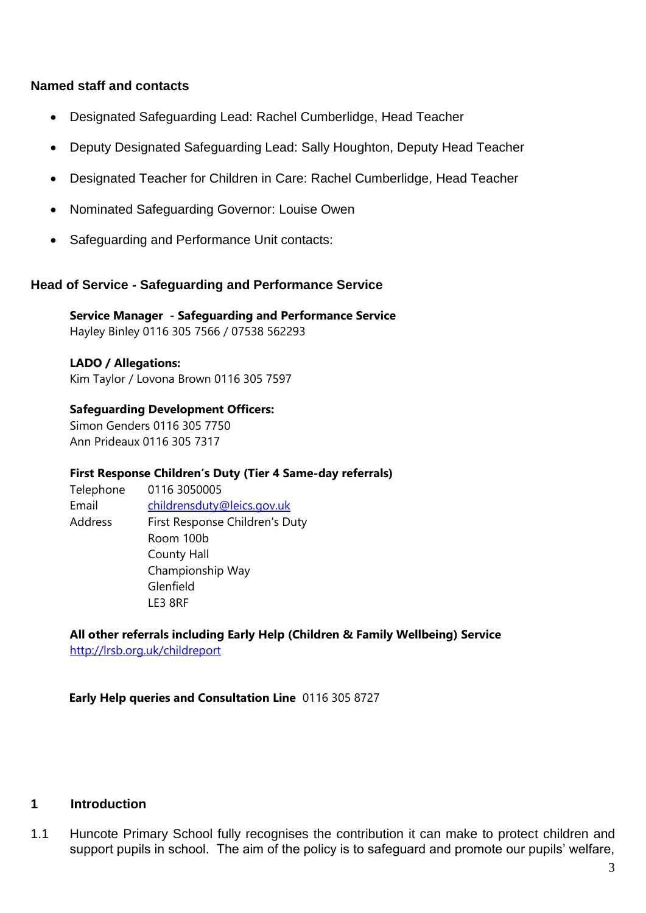#### **Named staff and contacts**

- Designated Safeguarding Lead: Rachel Cumberlidge, Head Teacher
- Deputy Designated Safeguarding Lead: Sally Houghton, Deputy Head Teacher
- Designated Teacher for Children in Care: Rachel Cumberlidge, Head Teacher
- Nominated Safeguarding Governor: Louise Owen
- Safeguarding and Performance Unit contacts:

#### **Head of Service - Safeguarding and Performance Service**

**Service Manager - Safeguarding and Performance Service** Hayley Binley 0116 305 7566 / 07538 562293

#### **LADO / Allegations:**

Kim Taylor / Lovona Brown 0116 305 7597

**Safeguarding Development Officers:** 

Simon Genders 0116 305 7750 Ann Prideaux 0116 305 7317

#### **First Response Children's Duty (Tier 4 Same-day referrals)**

Telephone 0116 3050005 Email [childrensduty@leics.gov.uk](mailto:childrensduty@leics.gov.uk) Address First Response Children's Duty Room 100b County Hall Championship Way Glenfield LE3 8RF

**All other referrals including Early Help (Children & Family Wellbeing) Service** <http://lrsb.org.uk/childreport>

**Early Help queries and Consultation Line** 0116 305 8727

#### **1 Introduction**

1.1 Huncote Primary School fully recognises the contribution it can make to protect children and support pupils in school. The aim of the policy is to safeguard and promote our pupils' welfare,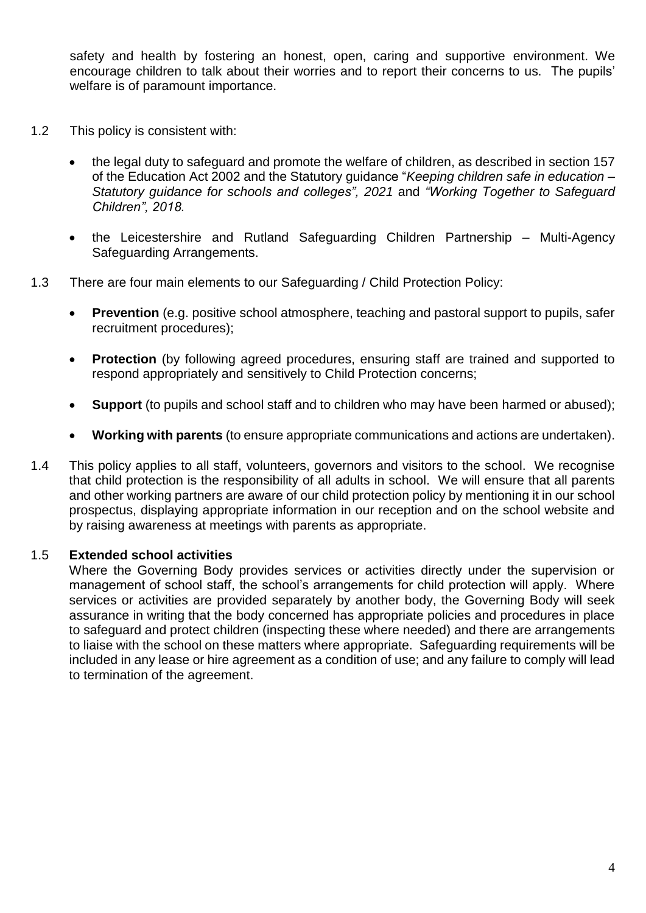safety and health by fostering an honest, open, caring and supportive environment. We encourage children to talk about their worries and to report their concerns to us. The pupils' welfare is of paramount importance.

- 1.2 This policy is consistent with:
	- the legal duty to safeguard and promote the welfare of children, as described in section 157 of the Education Act 2002 and the Statutory guidance "*Keeping children safe in education – Statutory guidance for schools and colleges", 2021* and *"Working Together to Safeguard Children", 2018.*
	- the Leicestershire and Rutland Safeguarding Children Partnership Multi-Agency Safeguarding Arrangements.
- 1.3 There are four main elements to our Safeguarding / Child Protection Policy:
	- **Prevention** (e.g. positive school atmosphere, teaching and pastoral support to pupils, safer recruitment procedures);
	- **Protection** (by following agreed procedures, ensuring staff are trained and supported to respond appropriately and sensitively to Child Protection concerns;
	- **Support** (to pupils and school staff and to children who may have been harmed or abused);
	- **Working with parents** (to ensure appropriate communications and actions are undertaken).
- 1.4 This policy applies to all staff, volunteers, governors and visitors to the school. We recognise that child protection is the responsibility of all adults in school. We will ensure that all parents and other working partners are aware of our child protection policy by mentioning it in our school prospectus, displaying appropriate information in our reception and on the school website and by raising awareness at meetings with parents as appropriate.

#### 1.5 **Extended school activities**

Where the Governing Body provides services or activities directly under the supervision or management of school staff, the school's arrangements for child protection will apply. Where services or activities are provided separately by another body, the Governing Body will seek assurance in writing that the body concerned has appropriate policies and procedures in place to safeguard and protect children (inspecting these where needed) and there are arrangements to liaise with the school on these matters where appropriate. Safeguarding requirements will be included in any lease or hire agreement as a condition of use; and any failure to comply will lead to termination of the agreement.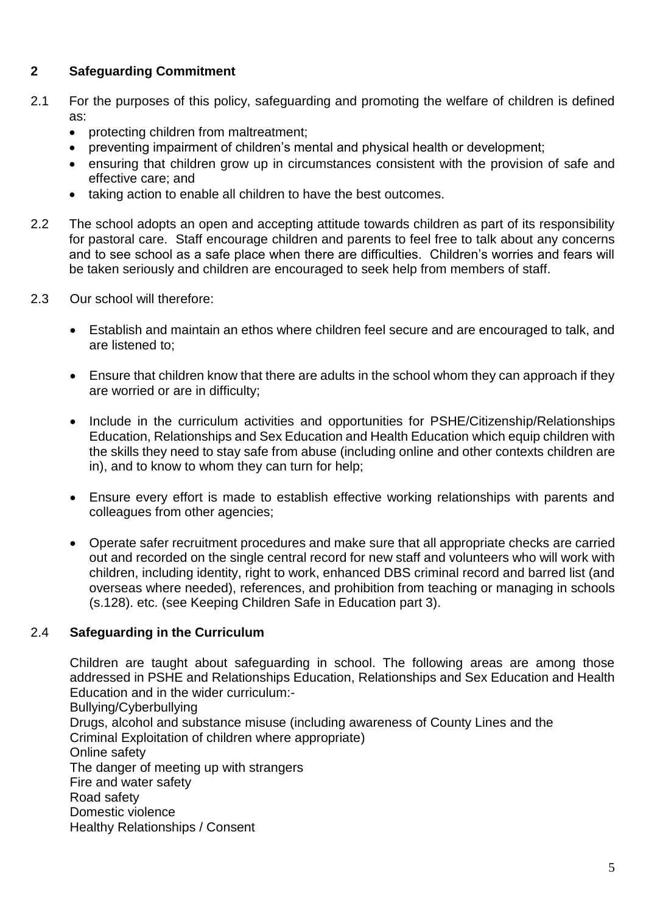#### **2 Safeguarding Commitment**

- 2.1 For the purposes of this policy, safeguarding and promoting the welfare of children is defined as:
	- protecting children from maltreatment;
	- preventing impairment of children's mental and physical health or development;
	- ensuring that children grow up in circumstances consistent with the provision of safe and effective care; and
	- taking action to enable all children to have the best outcomes.
- 2.2 The school adopts an open and accepting attitude towards children as part of its responsibility for pastoral care. Staff encourage children and parents to feel free to talk about any concerns and to see school as a safe place when there are difficulties. Children's worries and fears will be taken seriously and children are encouraged to seek help from members of staff.
- 2.3 Our school will therefore:
	- Establish and maintain an ethos where children feel secure and are encouraged to talk, and are listened to;
	- Ensure that children know that there are adults in the school whom they can approach if they are worried or are in difficulty;
	- Include in the curriculum activities and opportunities for PSHE/Citizenship/Relationships Education, Relationships and Sex Education and Health Education which equip children with the skills they need to stay safe from abuse (including online and other contexts children are in), and to know to whom they can turn for help;
	- Ensure every effort is made to establish effective working relationships with parents and colleagues from other agencies;
	- Operate safer recruitment procedures and make sure that all appropriate checks are carried out and recorded on the single central record for new staff and volunteers who will work with children, including identity, right to work, enhanced DBS criminal record and barred list (and overseas where needed), references, and prohibition from teaching or managing in schools (s.128). etc. (see Keeping Children Safe in Education part 3).

#### 2.4 **Safeguarding in the Curriculum**

Children are taught about safeguarding in school. The following areas are among those addressed in PSHE and Relationships Education, Relationships and Sex Education and Health Education and in the wider curriculum:- Bullying/Cyberbullying Drugs, alcohol and substance misuse (including awareness of County Lines and the Criminal Exploitation of children where appropriate) Online safety The danger of meeting up with strangers Fire and water safety Road safety Domestic violence Healthy Relationships / Consent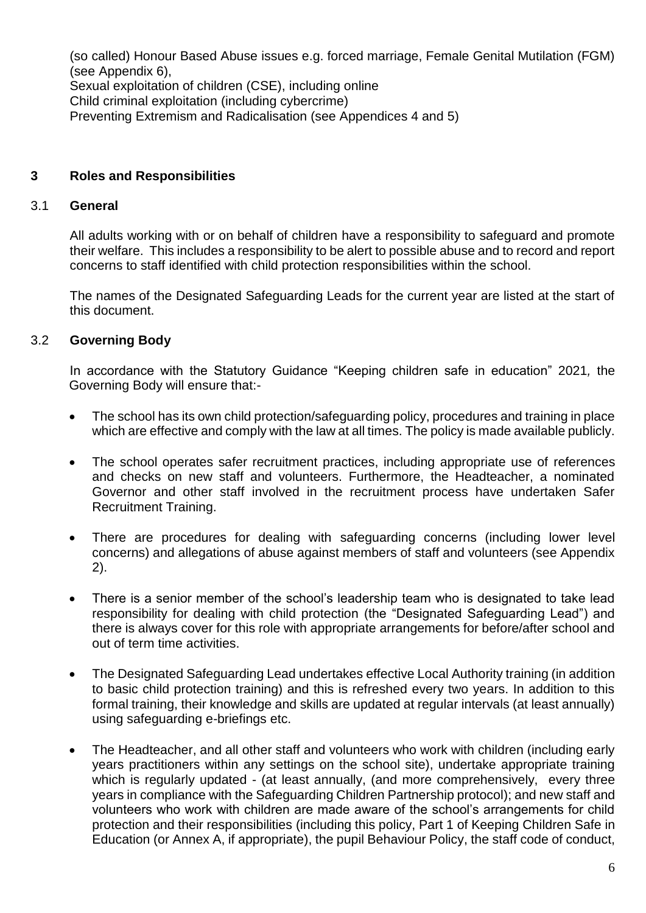(so called) Honour Based Abuse issues e.g. forced marriage, Female Genital Mutilation (FGM) (see Appendix 6), Sexual exploitation of children (CSE), including online Child criminal exploitation (including cybercrime) Preventing Extremism and Radicalisation (see Appendices 4 and 5)

#### **3 Roles and Responsibilities**

#### 3.1 **General**

All adults working with or on behalf of children have a responsibility to safeguard and promote their welfare. This includes a responsibility to be alert to possible abuse and to record and report concerns to staff identified with child protection responsibilities within the school.

The names of the Designated Safeguarding Leads for the current year are listed at the start of this document.

#### 3.2 **Governing Body**

In accordance with the Statutory Guidance "Keeping children safe in education" 2021*,* the Governing Body will ensure that:-

- The school has its own child protection/safeguarding policy, procedures and training in place which are effective and comply with the law at all times. The policy is made available publicly.
- The school operates safer recruitment practices, including appropriate use of references and checks on new staff and volunteers. Furthermore, the Headteacher, a nominated Governor and other staff involved in the recruitment process have undertaken Safer Recruitment Training.
- There are procedures for dealing with safeguarding concerns (including lower level concerns) and allegations of abuse against members of staff and volunteers (see Appendix 2).
- There is a senior member of the school's leadership team who is designated to take lead responsibility for dealing with child protection (the "Designated Safeguarding Lead") and there is always cover for this role with appropriate arrangements for before/after school and out of term time activities.
- The Designated Safeguarding Lead undertakes effective Local Authority training (in addition to basic child protection training) and this is refreshed every two years. In addition to this formal training, their knowledge and skills are updated at regular intervals (at least annually) using safeguarding e-briefings etc.
- The Headteacher, and all other staff and volunteers who work with children (including early years practitioners within any settings on the school site), undertake appropriate training which is regularly updated - (at least annually, (and more comprehensively, every three years in compliance with the Safeguarding Children Partnership protocol); and new staff and volunteers who work with children are made aware of the school's arrangements for child protection and their responsibilities (including this policy, Part 1 of Keeping Children Safe in Education (or Annex A, if appropriate), the pupil Behaviour Policy, the staff code of conduct,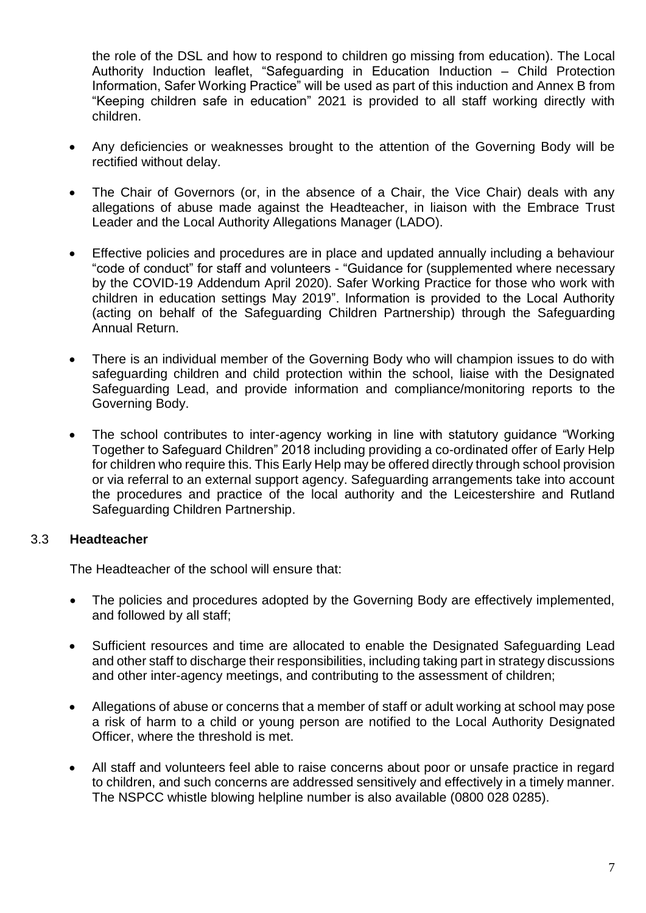the role of the DSL and how to respond to children go missing from education). The Local Authority Induction leaflet, "Safeguarding in Education Induction – Child Protection Information, Safer Working Practice" will be used as part of this induction and Annex B from "Keeping children safe in education" 2021 is provided to all staff working directly with children.

- Any deficiencies or weaknesses brought to the attention of the Governing Body will be rectified without delay.
- The Chair of Governors (or, in the absence of a Chair, the Vice Chair) deals with any allegations of abuse made against the Headteacher, in liaison with the Embrace Trust Leader and the Local Authority Allegations Manager (LADO).
- Effective policies and procedures are in place and updated annually including a behaviour "code of conduct" for staff and volunteers - "Guidance for (supplemented where necessary by the COVID-19 Addendum April 2020). Safer Working Practice for those who work with children in education settings May 2019". Information is provided to the Local Authority (acting on behalf of the Safeguarding Children Partnership) through the Safeguarding Annual Return.
- There is an individual member of the Governing Body who will champion issues to do with safeguarding children and child protection within the school, liaise with the Designated Safeguarding Lead, and provide information and compliance/monitoring reports to the Governing Body.
- The school contributes to inter-agency working in line with statutory guidance "Working Together to Safeguard Children" 2018 including providing a co-ordinated offer of Early Help for children who require this. This Early Help may be offered directly through school provision or via referral to an external support agency. Safeguarding arrangements take into account the procedures and practice of the local authority and the Leicestershire and Rutland Safeguarding Children Partnership.

#### 3.3 **Headteacher**

The Headteacher of the school will ensure that:

- The policies and procedures adopted by the Governing Body are effectively implemented, and followed by all staff;
- Sufficient resources and time are allocated to enable the Designated Safeguarding Lead and other staff to discharge their responsibilities, including taking part in strategy discussions and other inter-agency meetings, and contributing to the assessment of children;
- Allegations of abuse or concerns that a member of staff or adult working at school may pose a risk of harm to a child or young person are notified to the Local Authority Designated Officer, where the threshold is met.
- All staff and volunteers feel able to raise concerns about poor or unsafe practice in regard to children, and such concerns are addressed sensitively and effectively in a timely manner. The NSPCC whistle blowing helpline number is also available (0800 028 0285).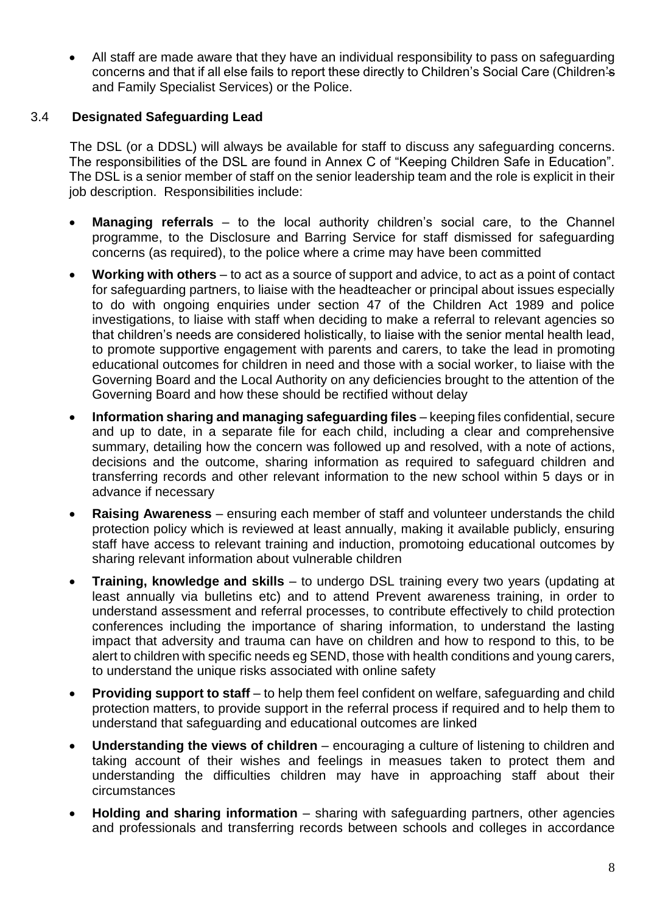• All staff are made aware that they have an individual responsibility to pass on safeguarding concerns and that if all else fails to report these directly to Children's Social Care (Children's and Family Specialist Services) or the Police.

#### 3.4 **Designated Safeguarding Lead**

The DSL (or a DDSL) will always be available for staff to discuss any safeguarding concerns. The responsibilities of the DSL are found in Annex C of "Keeping Children Safe in Education". The DSL is a senior member of staff on the senior leadership team and the role is explicit in their job description. Responsibilities include:

- **Managing referrals** to the local authority children's social care, to the Channel programme, to the Disclosure and Barring Service for staff dismissed for safeguarding concerns (as required), to the police where a crime may have been committed
- **Working with others** to act as a source of support and advice, to act as a point of contact for safeguarding partners, to liaise with the headteacher or principal about issues especially to do with ongoing enquiries under section 47 of the Children Act 1989 and police investigations, to liaise with staff when deciding to make a referral to relevant agencies so that children's needs are considered holistically, to liaise with the senior mental health lead, to promote supportive engagement with parents and carers, to take the lead in promoting educational outcomes for children in need and those with a social worker, to liaise with the Governing Board and the Local Authority on any deficiencies brought to the attention of the Governing Board and how these should be rectified without delay
- **Information sharing and managing safeguarding files** keeping files confidential, secure and up to date, in a separate file for each child, including a clear and comprehensive summary, detailing how the concern was followed up and resolved, with a note of actions, decisions and the outcome, sharing information as required to safeguard children and transferring records and other relevant information to the new school within 5 days or in advance if necessary
- **Raising Awareness** ensuring each member of staff and volunteer understands the child protection policy which is reviewed at least annually, making it available publicly, ensuring staff have access to relevant training and induction, promotoing educational outcomes by sharing relevant information about vulnerable children
- **Training, knowledge and skills**  to undergo DSL training every two years (updating at least annually via bulletins etc) and to attend Prevent awareness training, in order to understand assessment and referral processes, to contribute effectively to child protection conferences including the importance of sharing information, to understand the lasting impact that adversity and trauma can have on children and how to respond to this, to be alert to children with specific needs eg SEND, those with health conditions and young carers, to understand the unique risks associated with online safety
- **Providing support to staff** to help them feel confident on welfare, safeguarding and child protection matters, to provide support in the referral process if required and to help them to understand that safeguarding and educational outcomes are linked
- **Understanding the views of children**  encouraging a culture of listening to children and taking account of their wishes and feelings in measues taken to protect them and understanding the difficulties children may have in approaching staff about their circumstances
- **Holding and sharing information** sharing with safeguarding partners, other agencies and professionals and transferring records between schools and colleges in accordance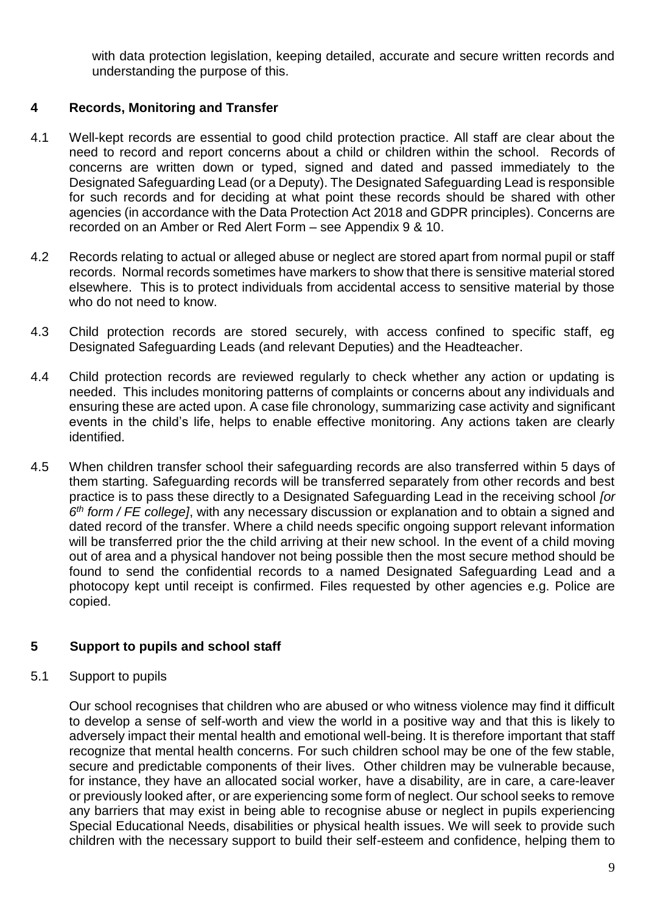with data protection legislation, keeping detailed, accurate and secure written records and understanding the purpose of this.

#### **4 Records, Monitoring and Transfer**

- 4.1 Well-kept records are essential to good child protection practice. All staff are clear about the need to record and report concerns about a child or children within the school. Records of concerns are written down or typed, signed and dated and passed immediately to the Designated Safeguarding Lead (or a Deputy). The Designated Safeguarding Lead is responsible for such records and for deciding at what point these records should be shared with other agencies (in accordance with the Data Protection Act 2018 and GDPR principles). Concerns are recorded on an Amber or Red Alert Form – see Appendix 9 & 10.
- 4.2 Records relating to actual or alleged abuse or neglect are stored apart from normal pupil or staff records. Normal records sometimes have markers to show that there is sensitive material stored elsewhere. This is to protect individuals from accidental access to sensitive material by those who do not need to know.
- 4.3 Child protection records are stored securely, with access confined to specific staff, eg Designated Safeguarding Leads (and relevant Deputies) and the Headteacher.
- 4.4 Child protection records are reviewed regularly to check whether any action or updating is needed. This includes monitoring patterns of complaints or concerns about any individuals and ensuring these are acted upon. A case file chronology, summarizing case activity and significant events in the child's life, helps to enable effective monitoring. Any actions taken are clearly identified.
- 4.5 When children transfer school their safeguarding records are also transferred within 5 days of them starting. Safeguarding records will be transferred separately from other records and best practice is to pass these directly to a Designated Safeguarding Lead in the receiving school *[or 6 th form / FE college]*, with any necessary discussion or explanation and to obtain a signed and dated record of the transfer. Where a child needs specific ongoing support relevant information will be transferred prior the the child arriving at their new school. In the event of a child moving out of area and a physical handover not being possible then the most secure method should be found to send the confidential records to a named Designated Safeguarding Lead and a photocopy kept until receipt is confirmed. Files requested by other agencies e.g. Police are copied.

#### **5 Support to pupils and school staff**

#### 5.1 Support to pupils

Our school recognises that children who are abused or who witness violence may find it difficult to develop a sense of self-worth and view the world in a positive way and that this is likely to adversely impact their mental health and emotional well-being. It is therefore important that staff recognize that mental health concerns. For such children school may be one of the few stable, secure and predictable components of their lives. Other children may be vulnerable because, for instance, they have an allocated social worker, have a disability, are in care, a care-leaver or previously looked after, or are experiencing some form of neglect. Our school seeks to remove any barriers that may exist in being able to recognise abuse or neglect in pupils experiencing Special Educational Needs, disabilities or physical health issues. We will seek to provide such children with the necessary support to build their self-esteem and confidence, helping them to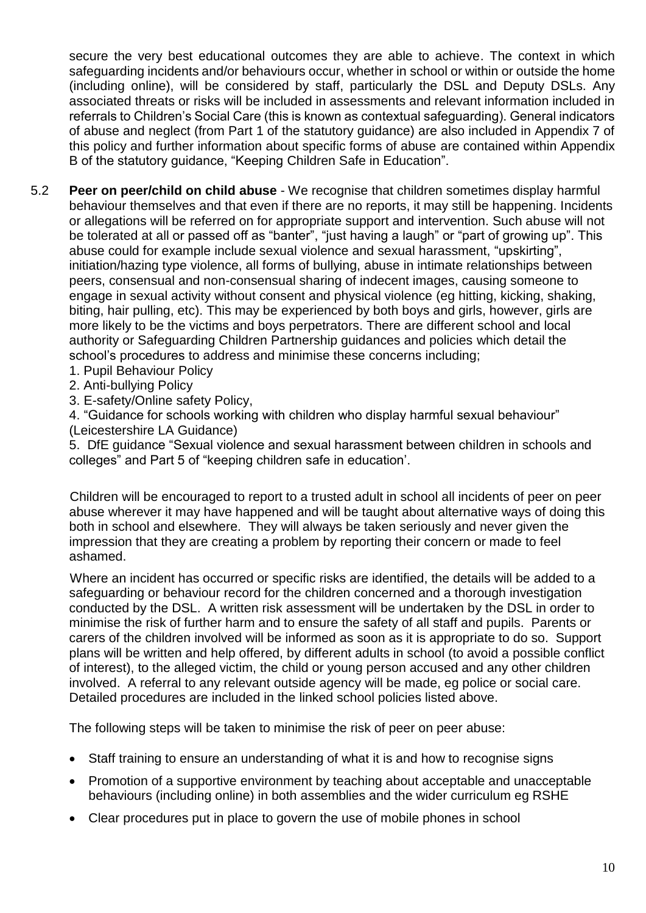secure the very best educational outcomes they are able to achieve. The context in which safeguarding incidents and/or behaviours occur, whether in school or within or outside the home (including online), will be considered by staff, particularly the DSL and Deputy DSLs. Any associated threats or risks will be included in assessments and relevant information included in referrals to Children's Social Care (this is known as contextual safeguarding). General indicators of abuse and neglect (from Part 1 of the statutory guidance) are also included in Appendix 7 of this policy and further information about specific forms of abuse are contained within Appendix B of the statutory guidance, "Keeping Children Safe in Education".

- 5.2 **Peer on peer/child on child abuse** We recognise that children sometimes display harmful behaviour themselves and that even if there are no reports, it may still be happening. Incidents or allegations will be referred on for appropriate support and intervention. Such abuse will not be tolerated at all or passed off as "banter", "just having a laugh" or "part of growing up". This abuse could for example include sexual violence and sexual harassment, "upskirting", initiation/hazing type violence, all forms of bullying, abuse in intimate relationships between peers, consensual and non-consensual sharing of indecent images, causing someone to engage in sexual activity without consent and physical violence (eg hitting, kicking, shaking, biting, hair pulling, etc). This may be experienced by both boys and girls, however, girls are more likely to be the victims and boys perpetrators. There are different school and local authority or Safeguarding Children Partnership guidances and policies which detail the school's procedures to address and minimise these concerns including;
	- 1. Pupil Behaviour Policy
	- 2. Anti-bullying Policy
	- 3. E-safety/Online safety Policy,

4. "Guidance for schools working with children who display harmful sexual behaviour" (Leicestershire LA Guidance)

5. DfE guidance "Sexual violence and sexual harassment between children in schools and colleges" and Part 5 of "keeping children safe in education'.

Children will be encouraged to report to a trusted adult in school all incidents of peer on peer abuse wherever it may have happened and will be taught about alternative ways of doing this both in school and elsewhere. They will always be taken seriously and never given the impression that they are creating a problem by reporting their concern or made to feel ashamed.

Where an incident has occurred or specific risks are identified, the details will be added to a safeguarding or behaviour record for the children concerned and a thorough investigation conducted by the DSL. A written risk assessment will be undertaken by the DSL in order to minimise the risk of further harm and to ensure the safety of all staff and pupils. Parents or carers of the children involved will be informed as soon as it is appropriate to do so. Support plans will be written and help offered, by different adults in school (to avoid a possible conflict of interest), to the alleged victim, the child or young person accused and any other children involved. A referral to any relevant outside agency will be made, eg police or social care. Detailed procedures are included in the linked school policies listed above.

The following steps will be taken to minimise the risk of peer on peer abuse:

- Staff training to ensure an understanding of what it is and how to recognise signs
- Promotion of a supportive environment by teaching about acceptable and unacceptable behaviours (including online) in both assemblies and the wider curriculum eg RSHE
- Clear procedures put in place to govern the use of mobile phones in school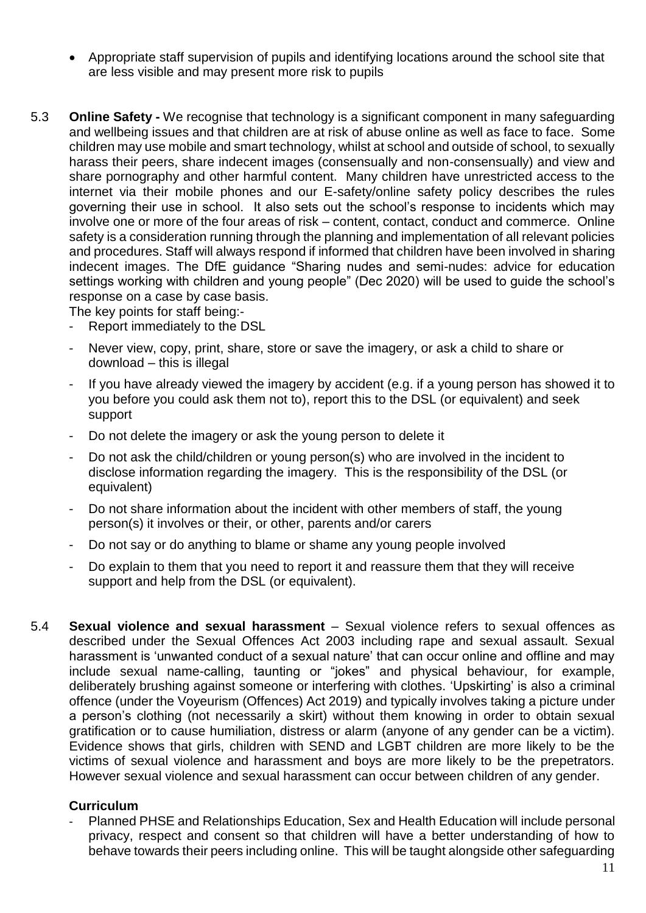- Appropriate staff supervision of pupils and identifying locations around the school site that are less visible and may present more risk to pupils
- 5.3 **Online Safety -** We recognise that technology is a significant component in many safeguarding and wellbeing issues and that children are at risk of abuse online as well as face to face. Some children may use mobile and smart technology, whilst at school and outside of school, to sexually harass their peers, share indecent images (consensually and non-consensually) and view and share pornography and other harmful content. Many children have unrestricted access to the internet via their mobile phones and our E-safety/online safety policy describes the rules governing their use in school. It also sets out the school's response to incidents which may involve one or more of the four areas of risk – content, contact, conduct and commerce. Online safety is a consideration running through the planning and implementation of all relevant policies and procedures. Staff will always respond if informed that children have been involved in sharing indecent images. The DfE guidance "Sharing nudes and semi-nudes: advice for education settings working with children and young people" (Dec 2020) will be used to guide the school's response on a case by case basis.

The key points for staff being:-

- Report immediately to the DSL
- Never view, copy, print, share, store or save the imagery, or ask a child to share or download – this is illegal
- If you have already viewed the imagery by accident (e.g. if a young person has showed it to you before you could ask them not to), report this to the DSL (or equivalent) and seek support
- Do not delete the imagery or ask the young person to delete it
- Do not ask the child/children or young person(s) who are involved in the incident to disclose information regarding the imagery. This is the responsibility of the DSL (or equivalent)
- Do not share information about the incident with other members of staff, the young person(s) it involves or their, or other, parents and/or carers
- Do not say or do anything to blame or shame any young people involved
- Do explain to them that you need to report it and reassure them that they will receive support and help from the DSL (or equivalent).
- 5.4 **Sexual violence and sexual harassment** Sexual violence refers to sexual offences as described under the Sexual Offences Act 2003 including rape and sexual assault. Sexual harassment is 'unwanted conduct of a sexual nature' that can occur online and offline and may include sexual name-calling, taunting or "jokes" and physical behaviour, for example, deliberately brushing against someone or interfering with clothes. 'Upskirting' is also a criminal offence (under the Voyeurism (Offences) Act 2019) and typically involves taking a picture under a person's clothing (not necessarily a skirt) without them knowing in order to obtain sexual gratification or to cause humiliation, distress or alarm (anyone of any gender can be a victim). Evidence shows that girls, children with SEND and LGBT children are more likely to be the victims of sexual violence and harassment and boys are more likely to be the prepetrators. However sexual violence and sexual harassment can occur between children of any gender.

#### **Curriculum**

Planned PHSE and Relationships Education, Sex and Health Education will include personal privacy, respect and consent so that children will have a better understanding of how to behave towards their peers including online. This will be taught alongside other safeguarding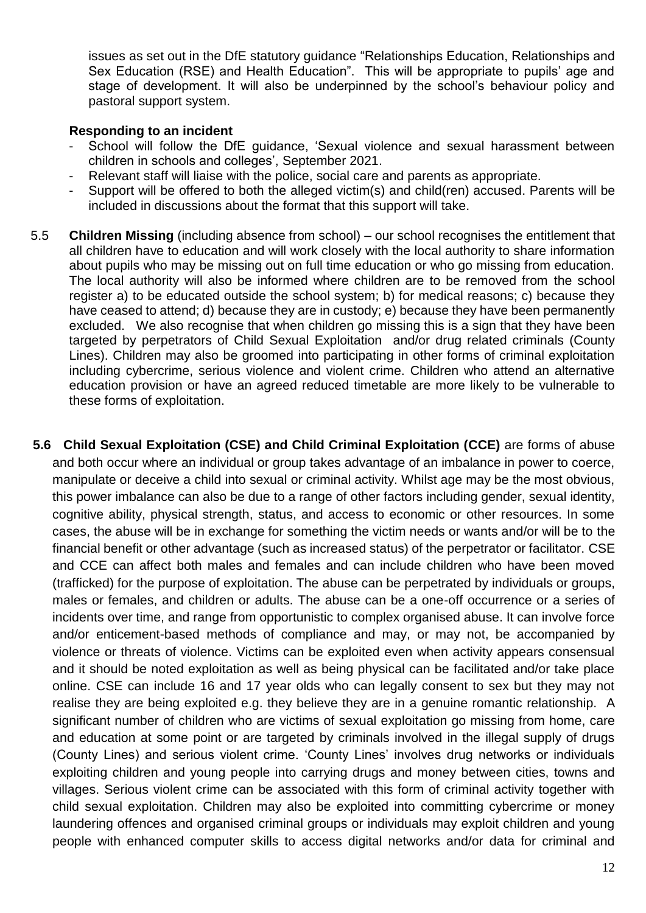issues as set out in the DfE statutory guidance "Relationships Education, Relationships and Sex Education (RSE) and Health Education". This will be appropriate to pupils' age and stage of development. It will also be underpinned by the school's behaviour policy and pastoral support system.

#### **Responding to an incident**

- School will follow the DfE guidance, 'Sexual violence and sexual harassment between children in schools and colleges', September 2021.
- Relevant staff will liaise with the police, social care and parents as appropriate.
- Support will be offered to both the alleged victim(s) and child(ren) accused. Parents will be included in discussions about the format that this support will take.
- 5.5 **Children Missing** (including absence from school) our school recognises the entitlement that all children have to education and will work closely with the local authority to share information about pupils who may be missing out on full time education or who go missing from education. The local authority will also be informed where children are to be removed from the school register a) to be educated outside the school system; b) for medical reasons; c) because they have ceased to attend; d) because they are in custody; e) because they have been permanently excluded. We also recognise that when children go missing this is a sign that they have been targeted by perpetrators of Child Sexual Exploitation and/or drug related criminals (County Lines). Children may also be groomed into participating in other forms of criminal exploitation including cybercrime, serious violence and violent crime. Children who attend an alternative education provision or have an agreed reduced timetable are more likely to be vulnerable to these forms of exploitation.
- **5.6 Child Sexual Exploitation (CSE) and Child Criminal Exploitation (CCE)** are forms of abuse and both occur where an individual or group takes advantage of an imbalance in power to coerce, manipulate or deceive a child into sexual or criminal activity. Whilst age may be the most obvious, this power imbalance can also be due to a range of other factors including gender, sexual identity, cognitive ability, physical strength, status, and access to economic or other resources. In some cases, the abuse will be in exchange for something the victim needs or wants and/or will be to the financial benefit or other advantage (such as increased status) of the perpetrator or facilitator. CSE and CCE can affect both males and females and can include children who have been moved (trafficked) for the purpose of exploitation. The abuse can be perpetrated by individuals or groups, males or females, and children or adults. The abuse can be a one-off occurrence or a series of incidents over time, and range from opportunistic to complex organised abuse. It can involve force and/or enticement-based methods of compliance and may, or may not, be accompanied by violence or threats of violence. Victims can be exploited even when activity appears consensual and it should be noted exploitation as well as being physical can be facilitated and/or take place online. CSE can include 16 and 17 year olds who can legally consent to sex but they may not realise they are being exploited e.g. they believe they are in a genuine romantic relationship. A significant number of children who are victims of sexual exploitation go missing from home, care and education at some point or are targeted by criminals involved in the illegal supply of drugs (County Lines) and serious violent crime. 'County Lines' involves drug networks or individuals exploiting children and young people into carrying drugs and money between cities, towns and villages. Serious violent crime can be associated with this form of criminal activity together with child sexual exploitation. Children may also be exploited into committing cybercrime or money laundering offences and organised criminal groups or individuals may exploit children and young people with enhanced computer skills to access digital networks and/or data for criminal and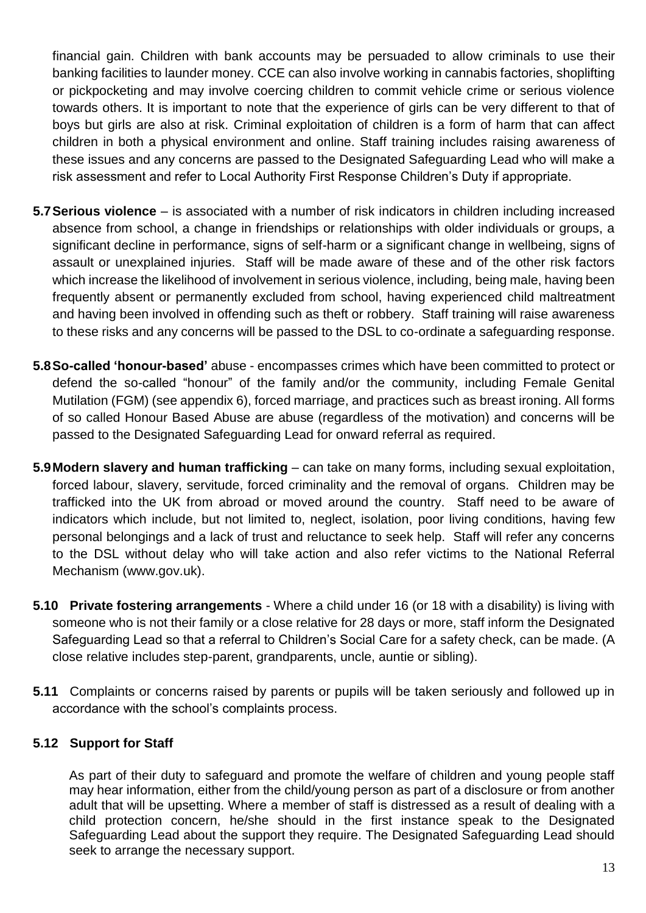financial gain. Children with bank accounts may be persuaded to allow criminals to use their banking facilities to launder money. CCE can also involve working in cannabis factories, shoplifting or pickpocketing and may involve coercing children to commit vehicle crime or serious violence towards others. It is important to note that the experience of girls can be very different to that of boys but girls are also at risk. Criminal exploitation of children is a form of harm that can affect children in both a physical environment and online. Staff training includes raising awareness of these issues and any concerns are passed to the Designated Safeguarding Lead who will make a risk assessment and refer to Local Authority First Response Children's Duty if appropriate.

- **5.7Serious violence** is associated with a number of risk indicators in children including increased absence from school, a change in friendships or relationships with older individuals or groups, a significant decline in performance, signs of self-harm or a significant change in wellbeing, signs of assault or unexplained injuries. Staff will be made aware of these and of the other risk factors which increase the likelihood of involvement in serious violence, including, being male, having been frequently absent or permanently excluded from school, having experienced child maltreatment and having been involved in offending such as theft or robbery. Staff training will raise awareness to these risks and any concerns will be passed to the DSL to co-ordinate a safeguarding response.
- **5.8So-called 'honour-based'** abuse encompasses crimes which have been committed to protect or defend the so-called "honour" of the family and/or the community, including Female Genital Mutilation (FGM) (see appendix 6), forced marriage, and practices such as breast ironing. All forms of so called Honour Based Abuse are abuse (regardless of the motivation) and concerns will be passed to the Designated Safeguarding Lead for onward referral as required.
- **5.9Modern slavery and human trafficking** can take on many forms, including sexual exploitation, forced labour, slavery, servitude, forced criminality and the removal of organs. Children may be trafficked into the UK from abroad or moved around the country. Staff need to be aware of indicators which include, but not limited to, neglect, isolation, poor living conditions, having few personal belongings and a lack of trust and reluctance to seek help. Staff will refer any concerns to the DSL without delay who will take action and also refer victims to the National Referral Mechanism (www.gov.uk).
- **5.10 Private fostering arrangements** Where a child under 16 (or 18 with a disability) is living with someone who is not their family or a close relative for 28 days or more, staff inform the Designated Safeguarding Lead so that a referral to Children's Social Care for a safety check, can be made. (A close relative includes step-parent, grandparents, uncle, auntie or sibling).
- **5.11** Complaints or concerns raised by parents or pupils will be taken seriously and followed up in accordance with the school's complaints process.

#### **5.12 Support for Staff**

As part of their duty to safeguard and promote the welfare of children and young people staff may hear information, either from the child/young person as part of a disclosure or from another adult that will be upsetting. Where a member of staff is distressed as a result of dealing with a child protection concern, he/she should in the first instance speak to the Designated Safeguarding Lead about the support they require. The Designated Safeguarding Lead should seek to arrange the necessary support.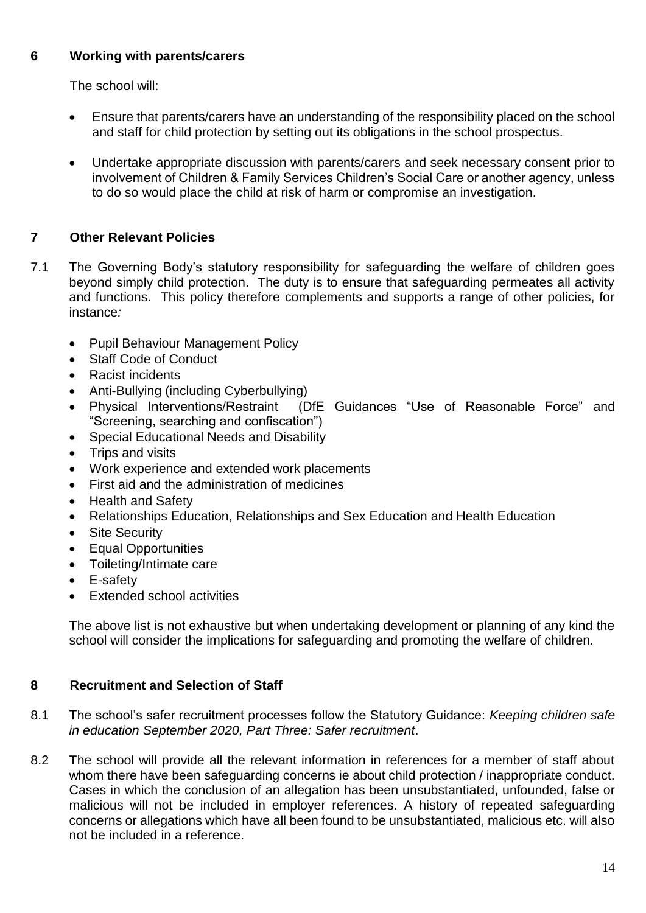#### **6 Working with parents/carers**

The school will:

- Ensure that parents/carers have an understanding of the responsibility placed on the school and staff for child protection by setting out its obligations in the school prospectus.
- Undertake appropriate discussion with parents/carers and seek necessary consent prior to involvement of Children & Family Services Children's Social Care or another agency, unless to do so would place the child at risk of harm or compromise an investigation.

### **7 Other Relevant Policies**

- 7.1 The Governing Body's statutory responsibility for safeguarding the welfare of children goes beyond simply child protection. The duty is to ensure that safeguarding permeates all activity and functions. This policy therefore complements and supports a range of other policies, for instance*:*
	- Pupil Behaviour Management Policy
	- Staff Code of Conduct
	- Racist incidents
	- Anti-Bullying (including Cyberbullying)
	- Physical Interventions/Restraint (DfE Guidances "Use of Reasonable Force" and "Screening, searching and confiscation")
	- Special Educational Needs and Disability
	- Trips and visits
	- Work experience and extended work placements
	- First aid and the administration of medicines
	- Health and Safety
	- Relationships Education, Relationships and Sex Education and Health Education
	- Site Security
	- Equal Opportunities
	- Toileting/Intimate care
	- E-safety
	- Extended school activities

The above list is not exhaustive but when undertaking development or planning of any kind the school will consider the implications for safeguarding and promoting the welfare of children.

#### **8 Recruitment and Selection of Staff**

- 8.1 The school's safer recruitment processes follow the Statutory Guidance: *Keeping children safe in education September 2020, Part Three: Safer recruitment*.
- 8.2 The school will provide all the relevant information in references for a member of staff about whom there have been safeguarding concerns ie about child protection / inappropriate conduct. Cases in which the conclusion of an allegation has been unsubstantiated, unfounded, false or malicious will not be included in employer references. A history of repeated safeguarding concerns or allegations which have all been found to be unsubstantiated, malicious etc. will also not be included in a reference.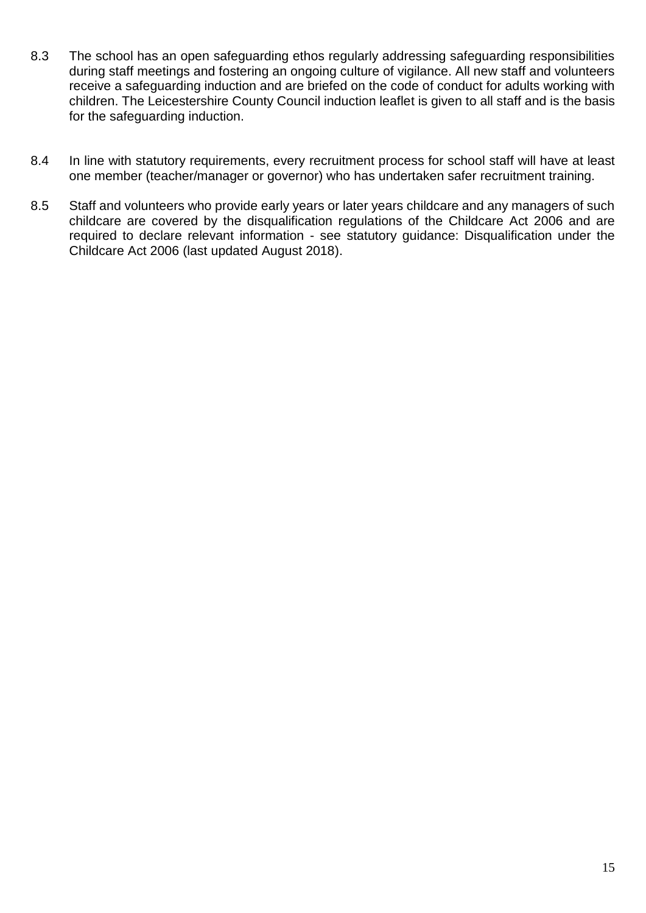- 8.3 The school has an open safeguarding ethos regularly addressing safeguarding responsibilities during staff meetings and fostering an ongoing culture of vigilance. All new staff and volunteers receive a safeguarding induction and are briefed on the code of conduct for adults working with children. The Leicestershire County Council induction leaflet is given to all staff and is the basis for the safeguarding induction.
- 8.4 In line with statutory requirements, every recruitment process for school staff will have at least one member (teacher/manager or governor) who has undertaken safer recruitment training.
- 8.5 Staff and volunteers who provide early years or later years childcare and any managers of such childcare are covered by the disqualification regulations of the Childcare Act 2006 and are required to declare relevant information - see statutory guidance: Disqualification under the Childcare Act 2006 (last updated August 2018).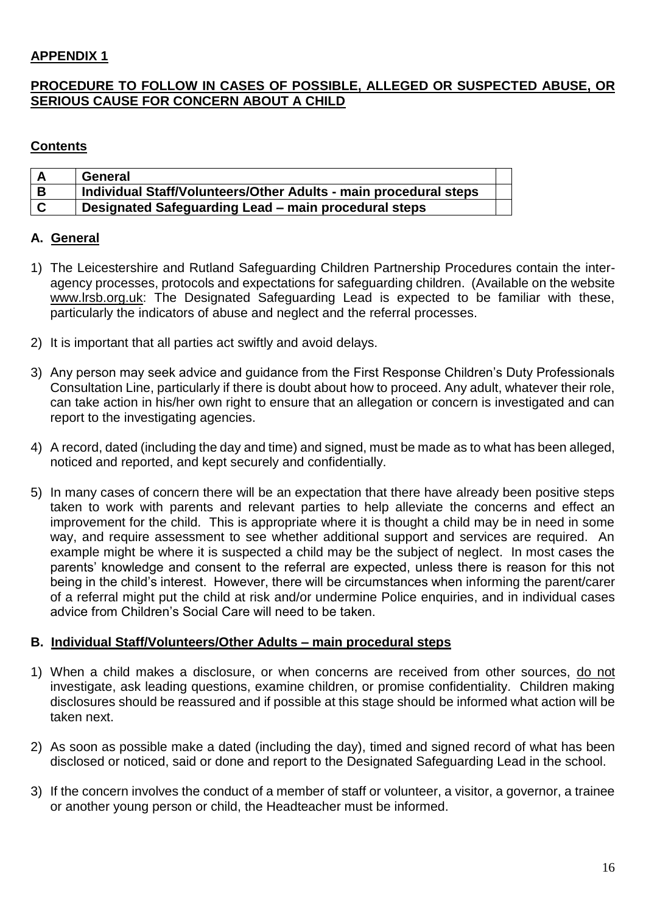#### **APPENDIX 1**

#### **PROCEDURE TO FOLLOW IN CASES OF POSSIBLE, ALLEGED OR SUSPECTED ABUSE, OR SERIOUS CAUSE FOR CONCERN ABOUT A CHILD**

#### **Contents**

|     | General                                                          |  |
|-----|------------------------------------------------------------------|--|
| . B | Individual Staff/Volunteers/Other Adults - main procedural steps |  |
| l C | Designated Safeguarding Lead - main procedural steps             |  |

#### **A. General**

- 1) The Leicestershire and Rutland Safeguarding Children Partnership Procedures contain the interagency processes, protocols and expectations for safeguarding children. (Available on the website www.lrsb.org.uk: The Designated Safeguarding Lead is expected to be familiar with these, particularly the indicators of abuse and neglect and the referral processes.
- 2) It is important that all parties act swiftly and avoid delays.
- 3) Any person may seek advice and guidance from the First Response Children's Duty Professionals Consultation Line, particularly if there is doubt about how to proceed. Any adult, whatever their role, can take action in his/her own right to ensure that an allegation or concern is investigated and can report to the investigating agencies.
- 4) A record, dated (including the day and time) and signed, must be made as to what has been alleged, noticed and reported, and kept securely and confidentially.
- 5) In many cases of concern there will be an expectation that there have already been positive steps taken to work with parents and relevant parties to help alleviate the concerns and effect an improvement for the child. This is appropriate where it is thought a child may be in need in some way, and require assessment to see whether additional support and services are required. An example might be where it is suspected a child may be the subject of neglect. In most cases the parents' knowledge and consent to the referral are expected, unless there is reason for this not being in the child's interest. However, there will be circumstances when informing the parent/carer of a referral might put the child at risk and/or undermine Police enquiries, and in individual cases advice from Children's Social Care will need to be taken.

#### **B. Individual Staff/Volunteers/Other Adults – main procedural steps**

- 1) When a child makes a disclosure, or when concerns are received from other sources, do not investigate, ask leading questions, examine children, or promise confidentiality. Children making disclosures should be reassured and if possible at this stage should be informed what action will be taken next.
- 2) As soon as possible make a dated (including the day), timed and signed record of what has been disclosed or noticed, said or done and report to the Designated Safeguarding Lead in the school.
- 3) If the concern involves the conduct of a member of staff or volunteer, a visitor, a governor, a trainee or another young person or child, the Headteacher must be informed.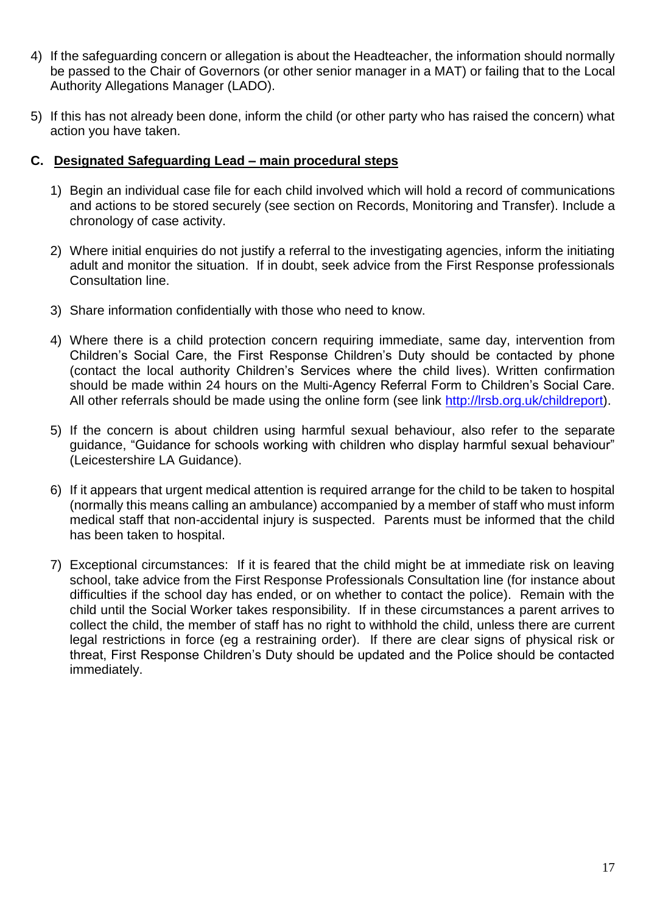- 4) If the safeguarding concern or allegation is about the Headteacher, the information should normally be passed to the Chair of Governors (or other senior manager in a MAT) or failing that to the Local Authority Allegations Manager (LADO).
- 5) If this has not already been done, inform the child (or other party who has raised the concern) what action you have taken.

#### **C. Designated Safeguarding Lead – main procedural steps**

- 1) Begin an individual case file for each child involved which will hold a record of communications and actions to be stored securely (see section on Records, Monitoring and Transfer). Include a chronology of case activity.
- 2) Where initial enquiries do not justify a referral to the investigating agencies, inform the initiating adult and monitor the situation. If in doubt, seek advice from the First Response professionals Consultation line.
- 3) Share information confidentially with those who need to know.
- 4) Where there is a child protection concern requiring immediate, same day, intervention from Children's Social Care, the First Response Children's Duty should be contacted by phone (contact the local authority Children's Services where the child lives). Written confirmation should be made within 24 hours on the Multi-Agency Referral Form to Children's Social Care. All other referrals should be made using the online form (see link [http://lrsb.org.uk/childreport\)](http://lrsb.org.uk/childreport).
- 5) If the concern is about children using harmful sexual behaviour, also refer to the separate guidance, "Guidance for schools working with children who display harmful sexual behaviour" (Leicestershire LA Guidance).
- 6) If it appears that urgent medical attention is required arrange for the child to be taken to hospital (normally this means calling an ambulance) accompanied by a member of staff who must inform medical staff that non-accidental injury is suspected. Parents must be informed that the child has been taken to hospital.
- 7) Exceptional circumstances: If it is feared that the child might be at immediate risk on leaving school, take advice from the First Response Professionals Consultation line (for instance about difficulties if the school day has ended, or on whether to contact the police). Remain with the child until the Social Worker takes responsibility. If in these circumstances a parent arrives to collect the child, the member of staff has no right to withhold the child, unless there are current legal restrictions in force (eg a restraining order). If there are clear signs of physical risk or threat, First Response Children's Duty should be updated and the Police should be contacted immediately.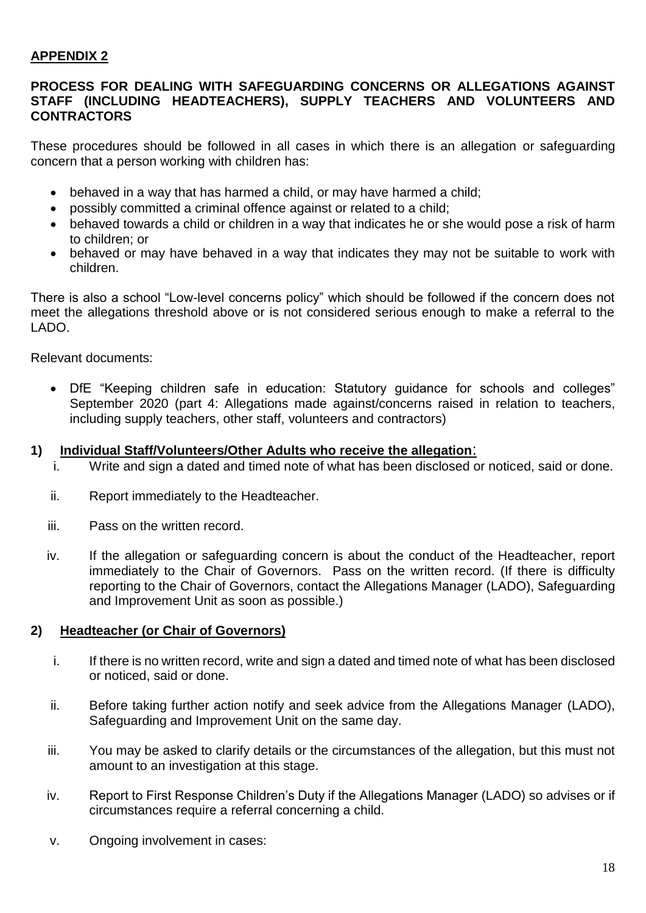#### **APPENDIX 2**

#### **PROCESS FOR DEALING WITH SAFEGUARDING CONCERNS OR ALLEGATIONS AGAINST STAFF (INCLUDING HEADTEACHERS), SUPPLY TEACHERS AND VOLUNTEERS AND CONTRACTORS**

These procedures should be followed in all cases in which there is an allegation or safeguarding concern that a person working with children has:

- behaved in a way that has harmed a child, or may have harmed a child;
- possibly committed a criminal offence against or related to a child;
- behaved towards a child or children in a way that indicates he or she would pose a risk of harm to children; or
- behaved or may have behaved in a way that indicates they may not be suitable to work with children.

There is also a school "Low-level concerns policy" which should be followed if the concern does not meet the allegations threshold above or is not considered serious enough to make a referral to the LADO.

Relevant documents:

• DfE "Keeping children safe in education: Statutory guidance for schools and colleges" September 2020 (part 4: Allegations made against/concerns raised in relation to teachers, including supply teachers, other staff, volunteers and contractors)

#### **1) Individual Staff/Volunteers/Other Adults who receive the allegation**:

- i. Write and sign a dated and timed note of what has been disclosed or noticed, said or done.
- ii. Report immediately to the Headteacher.
- iii. Pass on the written record.
- iv. If the allegation or safeguarding concern is about the conduct of the Headteacher, report immediately to the Chair of Governors. Pass on the written record. (If there is difficulty reporting to the Chair of Governors, contact the Allegations Manager (LADO), Safeguarding and Improvement Unit as soon as possible.)

#### **2) Headteacher (or Chair of Governors)**

- i. If there is no written record, write and sign a dated and timed note of what has been disclosed or noticed, said or done.
- ii. Before taking further action notify and seek advice from the Allegations Manager (LADO), Safeguarding and Improvement Unit on the same day.
- iii. You may be asked to clarify details or the circumstances of the allegation, but this must not amount to an investigation at this stage.
- iv. Report to First Response Children's Duty if the Allegations Manager (LADO) so advises or if circumstances require a referral concerning a child.
- v. Ongoing involvement in cases: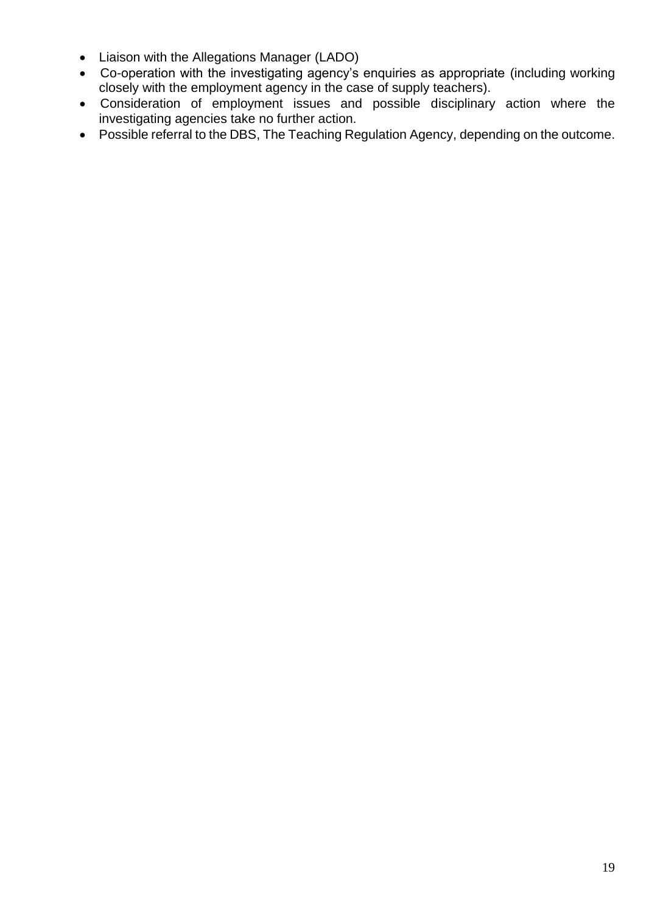- Liaison with the Allegations Manager (LADO)
- Co-operation with the investigating agency's enquiries as appropriate (including working closely with the employment agency in the case of supply teachers).
- Consideration of employment issues and possible disciplinary action where the investigating agencies take no further action.
- Possible referral to the DBS, The Teaching Regulation Agency, depending on the outcome.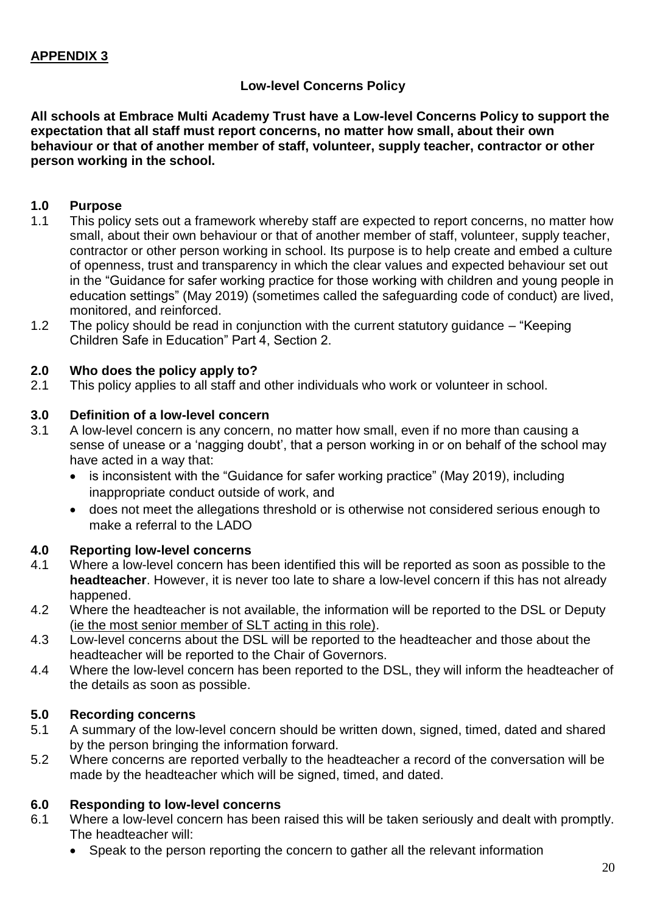#### **Low-level Concerns Policy**

**All schools at Embrace Multi Academy Trust have a Low-level Concerns Policy to support the expectation that all staff must report concerns, no matter how small, about their own behaviour or that of another member of staff, volunteer, supply teacher, contractor or other person working in the school.** 

#### **1.0 Purpose**

- 1.1 This policy sets out a framework whereby staff are expected to report concerns, no matter how small, about their own behaviour or that of another member of staff, volunteer, supply teacher, contractor or other person working in school. Its purpose is to help create and embed a culture of openness, trust and transparency in which the clear values and expected behaviour set out in the "Guidance for safer working practice for those working with children and young people in education settings" (May 2019) (sometimes called the safeguarding code of conduct) are lived, monitored, and reinforced.
- 1.2 The policy should be read in conjunction with the current statutory guidance "Keeping Children Safe in Education" Part 4, Section 2.

#### **2.0 Who does the policy apply to?**

2.1 This policy applies to all staff and other individuals who work or volunteer in school.

#### **3.0 Definition of a low-level concern**

- 3.1 A low-level concern is any concern, no matter how small, even if no more than causing a sense of unease or a 'nagging doubt', that a person working in or on behalf of the school may have acted in a way that:
	- is inconsistent with the "Guidance for safer working practice" (May 2019), including inappropriate conduct outside of work, and
	- does not meet the allegations threshold or is otherwise not considered serious enough to make a referral to the LADO

#### **4.0 Reporting low-level concerns**

- 4.1 Where a low-level concern has been identified this will be reported as soon as possible to the **headteacher**. However, it is never too late to share a low-level concern if this has not already happened.
- 4.2 Where the headteacher is not available, the information will be reported to the DSL or Deputy (ie the most senior member of SLT acting in this role).
- 4.3 Low-level concerns about the DSL will be reported to the headteacher and those about the headteacher will be reported to the Chair of Governors.
- 4.4 Where the low-level concern has been reported to the DSL, they will inform the headteacher of the details as soon as possible.

#### **5.0 Recording concerns**

- 5.1 A summary of the low-level concern should be written down, signed, timed, dated and shared by the person bringing the information forward.
- 5.2 Where concerns are reported verbally to the headteacher a record of the conversation will be made by the headteacher which will be signed, timed, and dated.

#### **6.0 Responding to low-level concerns**

- 6.1 Where a low-level concern has been raised this will be taken seriously and dealt with promptly. The headteacher will:
	- Speak to the person reporting the concern to gather all the relevant information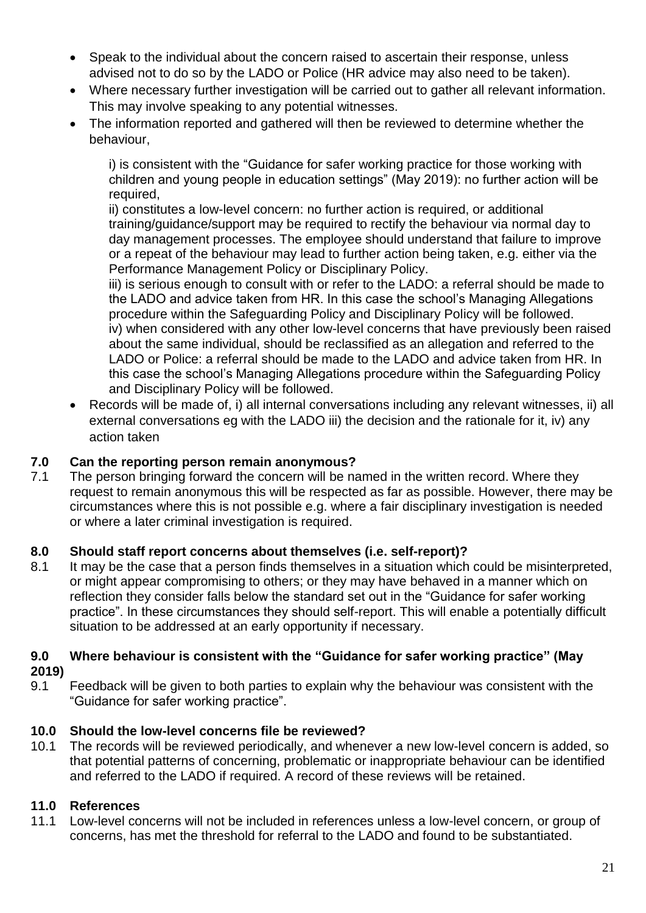- Speak to the individual about the concern raised to ascertain their response, unless advised not to do so by the LADO or Police (HR advice may also need to be taken).
- Where necessary further investigation will be carried out to gather all relevant information. This may involve speaking to any potential witnesses.
- The information reported and gathered will then be reviewed to determine whether the behaviour,

i) is consistent with the "Guidance for safer working practice for those working with children and young people in education settings" (May 2019): no further action will be required,

ii) constitutes a low-level concern: no further action is required, or additional training/guidance/support may be required to rectify the behaviour via normal day to day management processes. The employee should understand that failure to improve or a repeat of the behaviour may lead to further action being taken, e.g. either via the Performance Management Policy or Disciplinary Policy.

iii) is serious enough to consult with or refer to the LADO: a referral should be made to the LADO and advice taken from HR. In this case the school's Managing Allegations procedure within the Safeguarding Policy and Disciplinary Policy will be followed. iv) when considered with any other low-level concerns that have previously been raised about the same individual, should be reclassified as an allegation and referred to the LADO or Police: a referral should be made to the LADO and advice taken from HR. In this case the school's Managing Allegations procedure within the Safeguarding Policy and Disciplinary Policy will be followed.

• Records will be made of, i) all internal conversations including any relevant witnesses, ii) all external conversations eg with the LADO iii) the decision and the rationale for it, iv) any action taken

#### **7.0 Can the reporting person remain anonymous?**

7.1 The person bringing forward the concern will be named in the written record. Where they request to remain anonymous this will be respected as far as possible. However, there may be circumstances where this is not possible e.g. where a fair disciplinary investigation is needed or where a later criminal investigation is required.

#### **8.0 Should staff report concerns about themselves (i.e. self-report)?**

8.1 It may be the case that a person finds themselves in a situation which could be misinterpreted, or might appear compromising to others; or they may have behaved in a manner which on reflection they consider falls below the standard set out in the "Guidance for safer working practice". In these circumstances they should self-report. This will enable a potentially difficult situation to be addressed at an early opportunity if necessary.

#### **9.0 Where behaviour is consistent with the "Guidance for safer working practice" (May 2019)**

9.1 Feedback will be given to both parties to explain why the behaviour was consistent with the "Guidance for safer working practice".

#### **10.0 Should the low-level concerns file be reviewed?**

10.1 The records will be reviewed periodically, and whenever a new low-level concern is added, so that potential patterns of concerning, problematic or inappropriate behaviour can be identified and referred to the LADO if required. A record of these reviews will be retained.

#### **11.0 References**

11.1 Low-level concerns will not be included in references unless a low-level concern, or group of concerns, has met the threshold for referral to the LADO and found to be substantiated.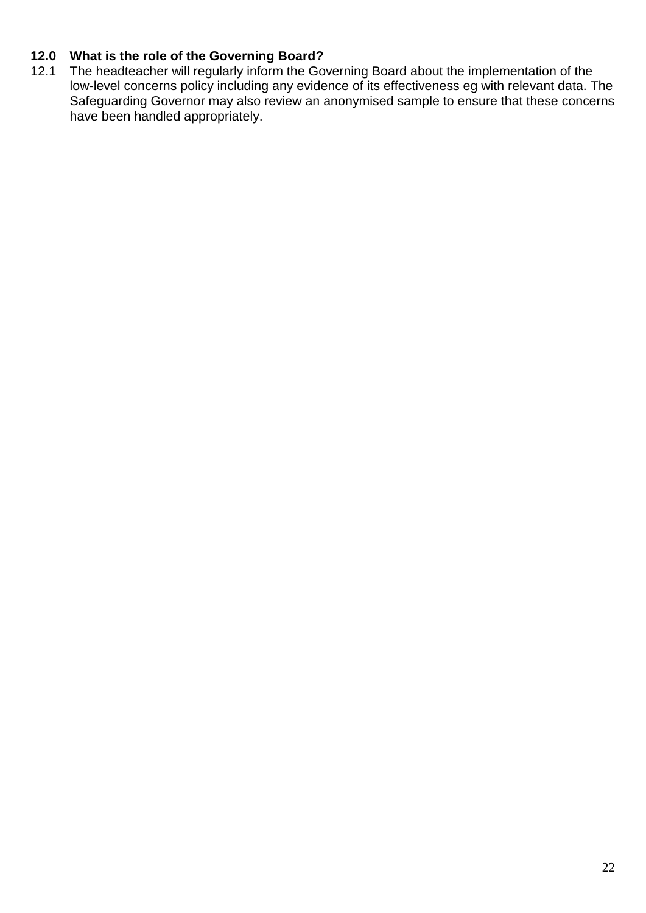#### **12.0 What is the role of the Governing Board?**

12.1 The headteacher will regularly inform the Governing Board about the implementation of the low-level concerns policy including any evidence of its effectiveness eg with relevant data. The Safeguarding Governor may also review an anonymised sample to ensure that these concerns have been handled appropriately.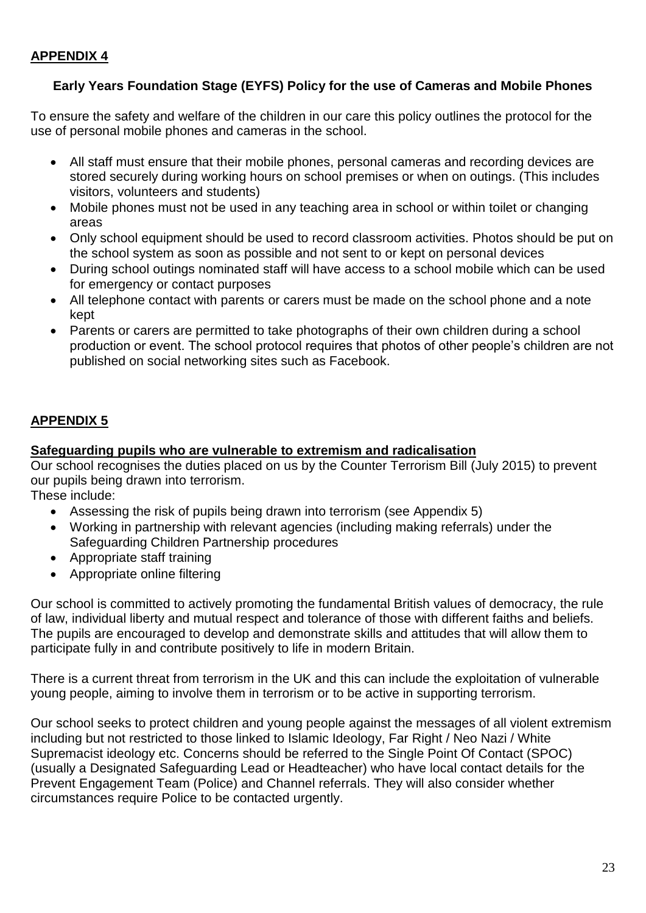#### **Early Years Foundation Stage (EYFS) Policy for the use of Cameras and Mobile Phones**

To ensure the safety and welfare of the children in our care this policy outlines the protocol for the use of personal mobile phones and cameras in the school.

- All staff must ensure that their mobile phones, personal cameras and recording devices are stored securely during working hours on school premises or when on outings. (This includes visitors, volunteers and students)
- Mobile phones must not be used in any teaching area in school or within toilet or changing areas
- Only school equipment should be used to record classroom activities. Photos should be put on the school system as soon as possible and not sent to or kept on personal devices
- During school outings nominated staff will have access to a school mobile which can be used for emergency or contact purposes
- All telephone contact with parents or carers must be made on the school phone and a note kept
- Parents or carers are permitted to take photographs of their own children during a school production or event. The school protocol requires that photos of other people's children are not published on social networking sites such as Facebook.

#### **APPENDIX 5**

#### **Safeguarding pupils who are vulnerable to extremism and radicalisation**

Our school recognises the duties placed on us by the Counter Terrorism Bill (July 2015) to prevent our pupils being drawn into terrorism.

These include:

- Assessing the risk of pupils being drawn into terrorism (see Appendix 5)
- Working in partnership with relevant agencies (including making referrals) under the Safeguarding Children Partnership procedures
- Appropriate staff training
- Appropriate online filtering

Our school is committed to actively promoting the fundamental British values of democracy, the rule of law, individual liberty and mutual respect and tolerance of those with different faiths and beliefs. The pupils are encouraged to develop and demonstrate skills and attitudes that will allow them to participate fully in and contribute positively to life in modern Britain.

There is a current threat from terrorism in the UK and this can include the exploitation of vulnerable young people, aiming to involve them in terrorism or to be active in supporting terrorism.

Our school seeks to protect children and young people against the messages of all violent extremism including but not restricted to those linked to Islamic Ideology, Far Right / Neo Nazi / White Supremacist ideology etc. Concerns should be referred to the Single Point Of Contact (SPOC) (usually a Designated Safeguarding Lead or Headteacher) who have local contact details for the Prevent Engagement Team (Police) and Channel referrals. They will also consider whether circumstances require Police to be contacted urgently.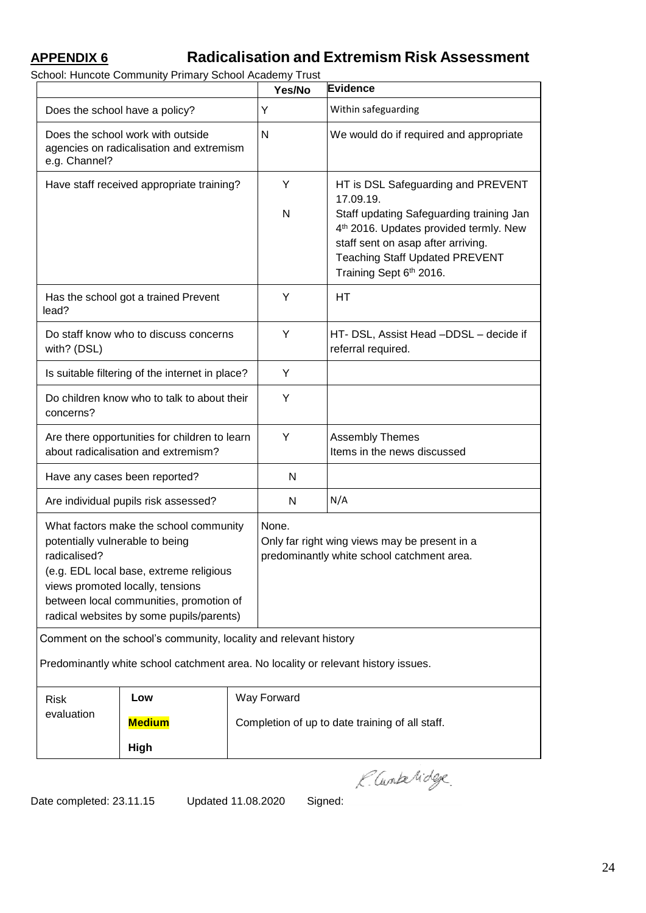## **APPENDIX 6 Radicalisation and Extremism Risk Assessment**

School: Huncote Community Primary School Academy Trust

|                                                                                                                                                                                                                                                                 |                                                                  |                                                 | Yes/No                                                                                                                                                                                                                                                      | Evidence                                                                                    |  |  |  |
|-----------------------------------------------------------------------------------------------------------------------------------------------------------------------------------------------------------------------------------------------------------------|------------------------------------------------------------------|-------------------------------------------------|-------------------------------------------------------------------------------------------------------------------------------------------------------------------------------------------------------------------------------------------------------------|---------------------------------------------------------------------------------------------|--|--|--|
| Does the school have a policy?                                                                                                                                                                                                                                  |                                                                  | Y                                               | Within safeguarding                                                                                                                                                                                                                                         |                                                                                             |  |  |  |
| Does the school work with outside<br>agencies on radicalisation and extremism<br>e.g. Channel?                                                                                                                                                                  |                                                                  | N                                               | We would do if required and appropriate                                                                                                                                                                                                                     |                                                                                             |  |  |  |
| Have staff received appropriate training?                                                                                                                                                                                                                       |                                                                  | Y<br>$\mathsf{N}$                               | HT is DSL Safeguarding and PREVENT<br>17.09.19.<br>Staff updating Safeguarding training Jan<br>4 <sup>th</sup> 2016. Updates provided termly. New<br>staff sent on asap after arriving.<br><b>Teaching Staff Updated PREVENT</b><br>Training Sept 6th 2016. |                                                                                             |  |  |  |
| lead?                                                                                                                                                                                                                                                           | Has the school got a trained Prevent                             |                                                 | Y                                                                                                                                                                                                                                                           | HТ                                                                                          |  |  |  |
| with? (DSL)                                                                                                                                                                                                                                                     | Do staff know who to discuss concerns                            |                                                 | Y                                                                                                                                                                                                                                                           | HT- DSL, Assist Head -DDSL - decide if<br>referral required.                                |  |  |  |
|                                                                                                                                                                                                                                                                 | Is suitable filtering of the internet in place?                  |                                                 | Υ                                                                                                                                                                                                                                                           |                                                                                             |  |  |  |
| Do children know who to talk to about their<br>concerns?                                                                                                                                                                                                        |                                                                  | Y                                               |                                                                                                                                                                                                                                                             |                                                                                             |  |  |  |
| Are there opportunities for children to learn<br>about radicalisation and extremism?                                                                                                                                                                            |                                                                  |                                                 | Y                                                                                                                                                                                                                                                           | <b>Assembly Themes</b><br>Items in the news discussed                                       |  |  |  |
|                                                                                                                                                                                                                                                                 | Have any cases been reported?                                    |                                                 | N                                                                                                                                                                                                                                                           |                                                                                             |  |  |  |
| Are individual pupils risk assessed?                                                                                                                                                                                                                            |                                                                  |                                                 | N                                                                                                                                                                                                                                                           | N/A                                                                                         |  |  |  |
| What factors make the school community<br>potentially vulnerable to being<br>radicalised?<br>(e.g. EDL local base, extreme religious<br>views promoted locally, tensions<br>between local communities, promotion of<br>radical websites by some pupils/parents) |                                                                  |                                                 | None.                                                                                                                                                                                                                                                       | Only far right wing views may be present in a<br>predominantly white school catchment area. |  |  |  |
|                                                                                                                                                                                                                                                                 | Comment on the school's community, locality and relevant history |                                                 |                                                                                                                                                                                                                                                             |                                                                                             |  |  |  |
| Predominantly white school catchment area. No locality or relevant history issues.                                                                                                                                                                              |                                                                  |                                                 |                                                                                                                                                                                                                                                             |                                                                                             |  |  |  |
| <b>Risk</b>                                                                                                                                                                                                                                                     | Low                                                              |                                                 | Way Forward                                                                                                                                                                                                                                                 |                                                                                             |  |  |  |
| evaluation                                                                                                                                                                                                                                                      | <b>Medium</b>                                                    | Completion of up to date training of all staff. |                                                                                                                                                                                                                                                             |                                                                                             |  |  |  |
|                                                                                                                                                                                                                                                                 | High                                                             |                                                 |                                                                                                                                                                                                                                                             |                                                                                             |  |  |  |
|                                                                                                                                                                                                                                                                 |                                                                  |                                                 |                                                                                                                                                                                                                                                             | K. Cuntervidge                                                                              |  |  |  |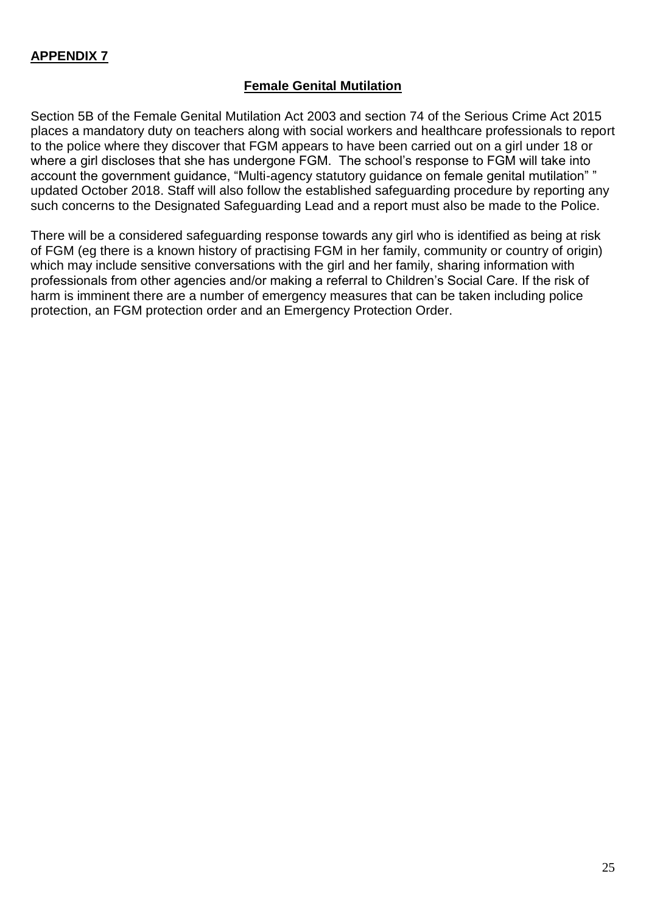#### **APPENDIX 7**

#### **Female Genital Mutilation**

Section 5B of the Female Genital Mutilation Act 2003 and section 74 of the Serious Crime Act 2015 places a mandatory duty on teachers along with social workers and healthcare professionals to report to the police where they discover that FGM appears to have been carried out on a girl under 18 or where a girl discloses that she has undergone FGM. The school's response to FGM will take into account the government guidance, "Multi-agency statutory guidance on female genital mutilation" " updated October 2018. Staff will also follow the established safeguarding procedure by reporting any such concerns to the Designated Safeguarding Lead and a report must also be made to the Police.

There will be a considered safeguarding response towards any girl who is identified as being at risk of FGM (eg there is a known history of practising FGM in her family, community or country of origin) which may include sensitive conversations with the girl and her family, sharing information with professionals from other agencies and/or making a referral to Children's Social Care. If the risk of harm is imminent there are a number of emergency measures that can be taken including police protection, an FGM protection order and an Emergency Protection Order.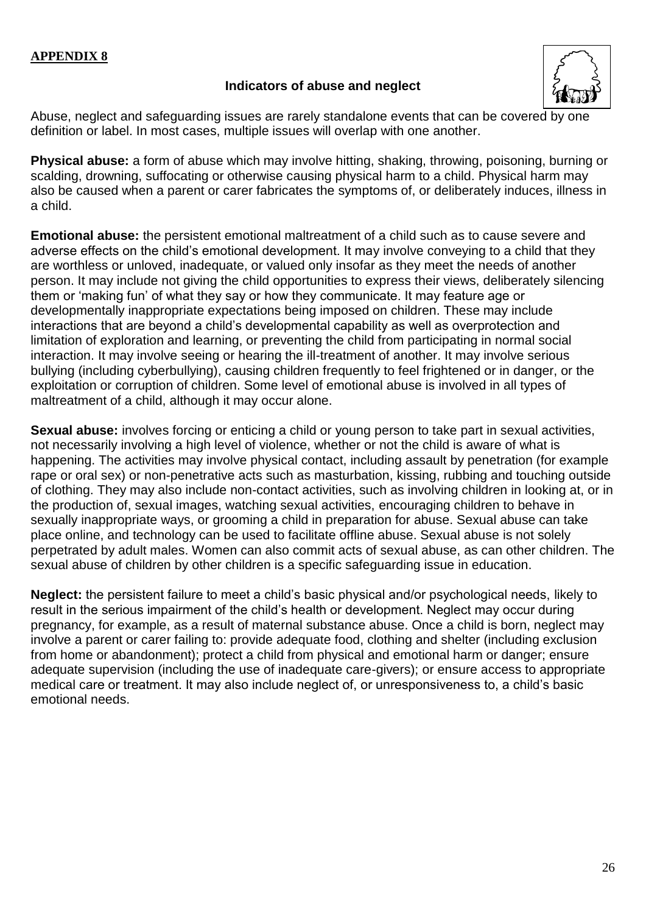#### **Indicators of abuse and neglect**



Abuse, neglect and safeguarding issues are rarely standalone events that can be covered by one definition or label. In most cases, multiple issues will overlap with one another.

**Physical abuse:** a form of abuse which may involve hitting, shaking, throwing, poisoning, burning or scalding, drowning, suffocating or otherwise causing physical harm to a child. Physical harm may also be caused when a parent or carer fabricates the symptoms of, or deliberately induces, illness in a child.

**Emotional abuse:** the persistent emotional maltreatment of a child such as to cause severe and adverse effects on the child's emotional development. It may involve conveying to a child that they are worthless or unloved, inadequate, or valued only insofar as they meet the needs of another person. It may include not giving the child opportunities to express their views, deliberately silencing them or 'making fun' of what they say or how they communicate. It may feature age or developmentally inappropriate expectations being imposed on children. These may include interactions that are beyond a child's developmental capability as well as overprotection and limitation of exploration and learning, or preventing the child from participating in normal social interaction. It may involve seeing or hearing the ill-treatment of another. It may involve serious bullying (including cyberbullying), causing children frequently to feel frightened or in danger, or the exploitation or corruption of children. Some level of emotional abuse is involved in all types of maltreatment of a child, although it may occur alone.

**Sexual abuse:** involves forcing or enticing a child or young person to take part in sexual activities, not necessarily involving a high level of violence, whether or not the child is aware of what is happening. The activities may involve physical contact, including assault by penetration (for example rape or oral sex) or non-penetrative acts such as masturbation, kissing, rubbing and touching outside of clothing. They may also include non-contact activities, such as involving children in looking at, or in the production of, sexual images, watching sexual activities, encouraging children to behave in sexually inappropriate ways, or grooming a child in preparation for abuse. Sexual abuse can take place online, and technology can be used to facilitate offline abuse. Sexual abuse is not solely perpetrated by adult males. Women can also commit acts of sexual abuse, as can other children. The sexual abuse of children by other children is a specific safeguarding issue in education.

**Neglect:** the persistent failure to meet a child's basic physical and/or psychological needs, likely to result in the serious impairment of the child's health or development. Neglect may occur during pregnancy, for example, as a result of maternal substance abuse. Once a child is born, neglect may involve a parent or carer failing to: provide adequate food, clothing and shelter (including exclusion from home or abandonment); protect a child from physical and emotional harm or danger; ensure adequate supervision (including the use of inadequate care-givers); or ensure access to appropriate medical care or treatment. It may also include neglect of, or unresponsiveness to, a child's basic emotional needs.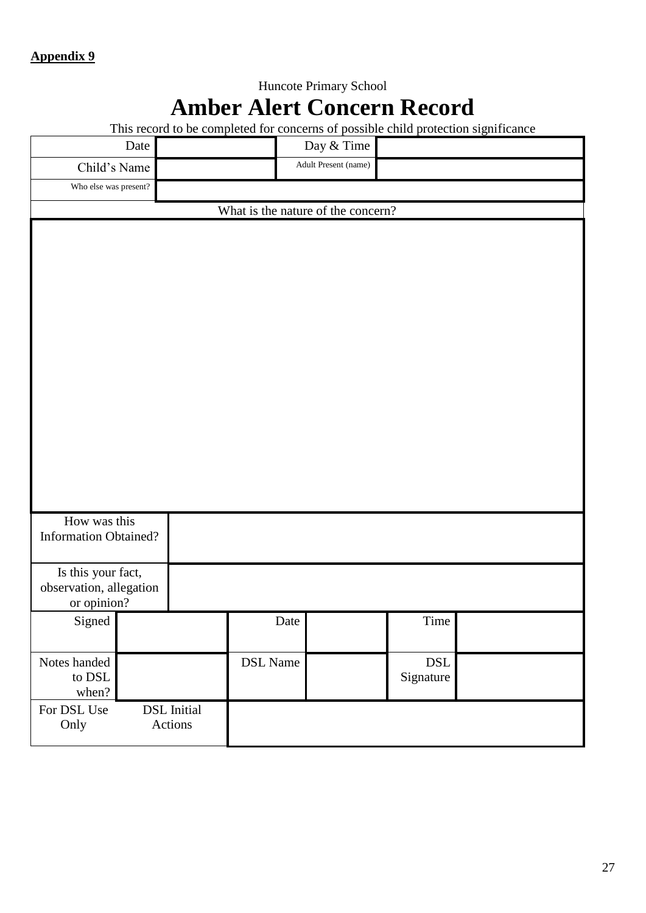# Huncote Primary School **Amber Alert Concern Record**

This record to be completed for concerns of possible child protection significance

|                                         | Date |                    |                 | Day & Time           |                                   |  |  |  |
|-----------------------------------------|------|--------------------|-----------------|----------------------|-----------------------------------|--|--|--|
| Child's Name                            |      |                    |                 | Adult Present (name) |                                   |  |  |  |
| Who else was present?                   |      |                    |                 |                      |                                   |  |  |  |
| What is the nature of the concern?      |      |                    |                 |                      |                                   |  |  |  |
|                                         |      |                    |                 |                      |                                   |  |  |  |
|                                         |      |                    |                 |                      |                                   |  |  |  |
|                                         |      |                    |                 |                      |                                   |  |  |  |
|                                         |      |                    |                 |                      |                                   |  |  |  |
|                                         |      |                    |                 |                      |                                   |  |  |  |
|                                         |      |                    |                 |                      |                                   |  |  |  |
|                                         |      |                    |                 |                      |                                   |  |  |  |
|                                         |      |                    |                 |                      |                                   |  |  |  |
|                                         |      |                    |                 |                      |                                   |  |  |  |
|                                         |      |                    |                 |                      |                                   |  |  |  |
|                                         |      |                    |                 |                      |                                   |  |  |  |
|                                         |      |                    |                 |                      |                                   |  |  |  |
|                                         |      |                    |                 |                      |                                   |  |  |  |
|                                         |      |                    |                 |                      |                                   |  |  |  |
| How was this                            |      |                    |                 |                      |                                   |  |  |  |
| <b>Information Obtained?</b>            |      |                    |                 |                      |                                   |  |  |  |
| Is this your fact,                      |      |                    |                 |                      |                                   |  |  |  |
| observation, allegation                 |      |                    |                 |                      |                                   |  |  |  |
| or opinion?                             |      |                    |                 |                      |                                   |  |  |  |
| Signed                                  |      |                    |                 | Date                 | Time                              |  |  |  |
|                                         |      |                    |                 |                      |                                   |  |  |  |
| Notes handed<br>to $\operatorname{DSL}$ |      |                    | <b>DSL</b> Name |                      | $\operatorname{DSL}$<br>Signature |  |  |  |
| when?                                   |      |                    |                 |                      |                                   |  |  |  |
| For DSL Use                             |      | <b>DSL</b> Initial |                 |                      |                                   |  |  |  |
| Only                                    |      | Actions            |                 |                      |                                   |  |  |  |